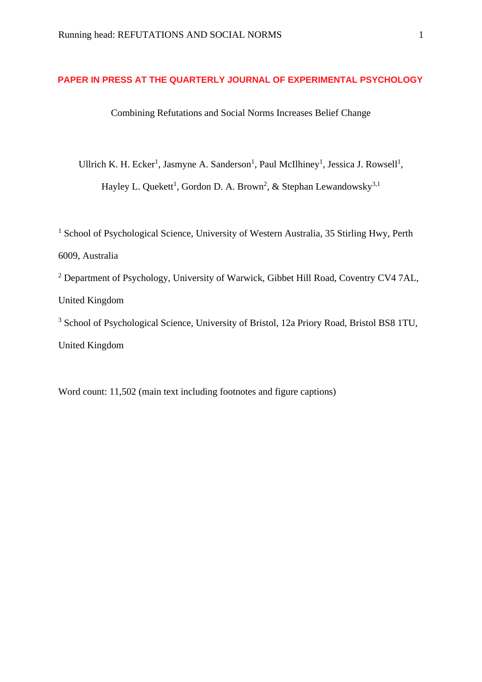# **PAPER IN PRESS AT THE QUARTERLY JOURNAL OF EXPERIMENTAL PSYCHOLOGY**

Combining Refutations and Social Norms Increases Belief Change

Ullrich K. H. Ecker<sup>1</sup>, Jasmyne A. Sanderson<sup>1</sup>, Paul McIlhiney<sup>1</sup>, Jessica J. Rowsell<sup>1</sup>, Hayley L. Quekett<sup>1</sup>, Gordon D. A. Brown<sup>2</sup>, & Stephan Lewandowsky<sup>3,1</sup>

<sup>1</sup> School of Psychological Science, University of Western Australia, 35 Stirling Hwy, Perth 6009, Australia <sup>2</sup> Department of Psychology, University of Warwick, Gibbet Hill Road, Coventry CV4 7AL, United Kingdom <sup>3</sup> School of Psychological Science, University of Bristol, 12a Priory Road, Bristol BS8 1TU, United Kingdom

Word count: 11,502 (main text including footnotes and figure captions)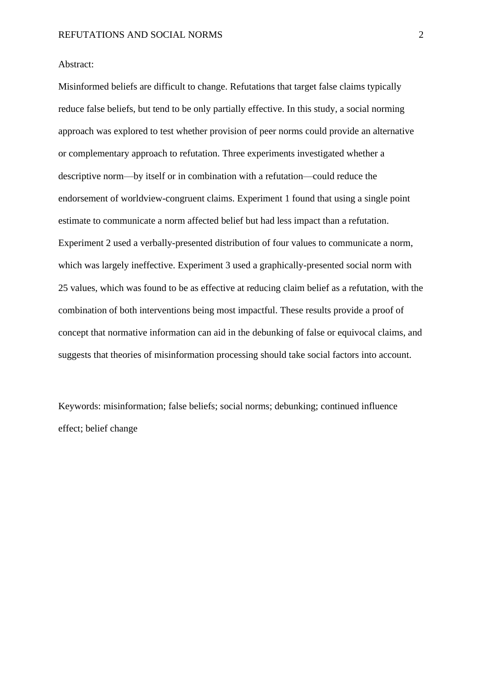## Abstract:

Misinformed beliefs are difficult to change. Refutations that target false claims typically reduce false beliefs, but tend to be only partially effective. In this study, a social norming approach was explored to test whether provision of peer norms could provide an alternative or complementary approach to refutation. Three experiments investigated whether a descriptive norm—by itself or in combination with a refutation—could reduce the endorsement of worldview-congruent claims. Experiment 1 found that using a single point estimate to communicate a norm affected belief but had less impact than a refutation. Experiment 2 used a verbally-presented distribution of four values to communicate a norm, which was largely ineffective. Experiment 3 used a graphically-presented social norm with 25 values, which was found to be as effective at reducing claim belief as a refutation, with the combination of both interventions being most impactful. These results provide a proof of concept that normative information can aid in the debunking of false or equivocal claims, and suggests that theories of misinformation processing should take social factors into account.

Keywords: misinformation; false beliefs; social norms; debunking; continued influence effect; belief change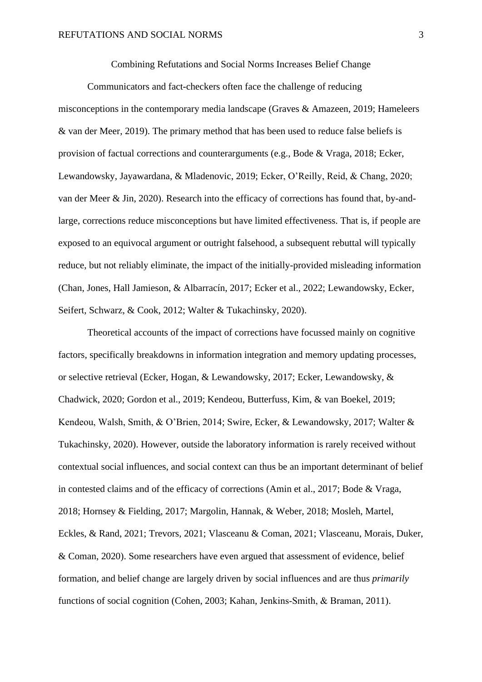Combining Refutations and Social Norms Increases Belief Change

Communicators and fact-checkers often face the challenge of reducing misconceptions in the contemporary media landscape (Graves & Amazeen, 2019; Hameleers & van der Meer, 2019). The primary method that has been used to reduce false beliefs is provision of factual corrections and counterarguments (e.g., Bode & Vraga, 2018; Ecker, Lewandowsky, Jayawardana, & Mladenovic, 2019; Ecker, O'Reilly, Reid, & Chang, 2020; van der Meer & Jin, 2020). Research into the efficacy of corrections has found that, by-andlarge, corrections reduce misconceptions but have limited effectiveness. That is, if people are exposed to an equivocal argument or outright falsehood, a subsequent rebuttal will typically reduce, but not reliably eliminate, the impact of the initially-provided misleading information (Chan, Jones, Hall Jamieson, & Albarracín, 2017; Ecker et al., 2022; Lewandowsky, Ecker, Seifert, Schwarz, & Cook, 2012; Walter & Tukachinsky, 2020).

Theoretical accounts of the impact of corrections have focussed mainly on cognitive factors, specifically breakdowns in information integration and memory updating processes, or selective retrieval (Ecker, Hogan, & Lewandowsky, 2017; Ecker, Lewandowsky, & Chadwick, 2020; Gordon et al., 2019; Kendeou, Butterfuss, Kim, & van Boekel, 2019; Kendeou, Walsh, Smith, & O'Brien, 2014; Swire, Ecker, & Lewandowsky, 2017; Walter & Tukachinsky, 2020). However, outside the laboratory information is rarely received without contextual social influences, and social context can thus be an important determinant of belief in contested claims and of the efficacy of corrections (Amin et al., 2017; Bode & Vraga, 2018; Hornsey & Fielding, 2017; Margolin, Hannak, & Weber, 2018; Mosleh, Martel, Eckles, & Rand, 2021; Trevors, 2021; Vlasceanu & Coman, 2021; Vlasceanu, Morais, Duker, & Coman, 2020). Some researchers have even argued that assessment of evidence, belief formation, and belief change are largely driven by social influences and are thus *primarily* functions of social cognition (Cohen, 2003; Kahan, Jenkins-Smith, & Braman, 2011).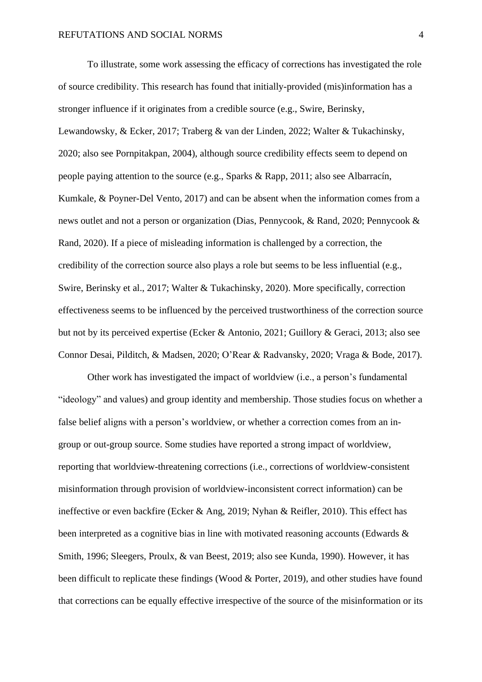To illustrate, some work assessing the efficacy of corrections has investigated the role of source credibility. This research has found that initially-provided (mis)information has a stronger influence if it originates from a credible source (e.g., Swire, Berinsky, Lewandowsky, & Ecker, 2017; Traberg & van der Linden, 2022; Walter & Tukachinsky, 2020; also see Pornpitakpan, 2004), although source credibility effects seem to depend on people paying attention to the source (e.g., Sparks & Rapp, 2011; also see Albarracín, Kumkale, & Poyner-Del Vento, 2017) and can be absent when the information comes from a news outlet and not a person or organization (Dias, Pennycook, & Rand, 2020; Pennycook & Rand, 2020). If a piece of misleading information is challenged by a correction, the credibility of the correction source also plays a role but seems to be less influential (e.g., Swire, Berinsky et al., 2017; Walter & Tukachinsky, 2020). More specifically, correction effectiveness seems to be influenced by the perceived trustworthiness of the correction source but not by its perceived expertise (Ecker & Antonio, 2021; Guillory & Geraci, 2013; also see Connor Desai, Pilditch, & Madsen, 2020; O'Rear & Radvansky, 2020; Vraga & Bode, 2017).

Other work has investigated the impact of worldview (i.e., a person's fundamental "ideology" and values) and group identity and membership. Those studies focus on whether a false belief aligns with a person's worldview, or whether a correction comes from an ingroup or out-group source. Some studies have reported a strong impact of worldview, reporting that worldview-threatening corrections (i.e., corrections of worldview-consistent misinformation through provision of worldview-inconsistent correct information) can be ineffective or even backfire (Ecker & Ang, 2019; Nyhan & Reifler, 2010). This effect has been interpreted as a cognitive bias in line with motivated reasoning accounts (Edwards & Smith, 1996; Sleegers, Proulx, & van Beest, 2019; also see Kunda, 1990). However, it has been difficult to replicate these findings (Wood & Porter, 2019), and other studies have found that corrections can be equally effective irrespective of the source of the misinformation or its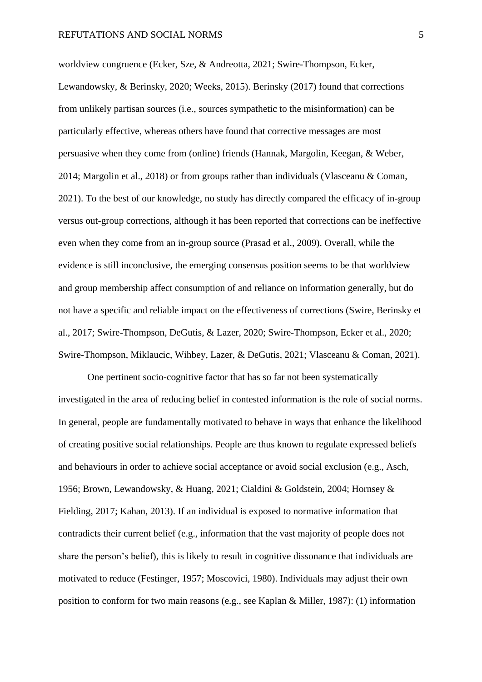worldview congruence (Ecker, Sze, & Andreotta, 2021; Swire-Thompson, Ecker, Lewandowsky, & Berinsky, 2020; Weeks, 2015). Berinsky (2017) found that corrections from unlikely partisan sources (i.e., sources sympathetic to the misinformation) can be particularly effective, whereas others have found that corrective messages are most persuasive when they come from (online) friends (Hannak, Margolin, Keegan, & Weber, 2014; Margolin et al., 2018) or from groups rather than individuals (Vlasceanu & Coman, 2021). To the best of our knowledge, no study has directly compared the efficacy of in-group versus out-group corrections, although it has been reported that corrections can be ineffective even when they come from an in-group source (Prasad et al., 2009). Overall, while the evidence is still inconclusive, the emerging consensus position seems to be that worldview and group membership affect consumption of and reliance on information generally, but do not have a specific and reliable impact on the effectiveness of corrections (Swire, Berinsky et al., 2017; Swire-Thompson, DeGutis, & Lazer, 2020; Swire-Thompson, Ecker et al., 2020; Swire-Thompson, Miklaucic, Wihbey, Lazer, & DeGutis, 2021; Vlasceanu & Coman, 2021).

One pertinent socio-cognitive factor that has so far not been systematically investigated in the area of reducing belief in contested information is the role of social norms. In general, people are fundamentally motivated to behave in ways that enhance the likelihood of creating positive social relationships. People are thus known to regulate expressed beliefs and behaviours in order to achieve social acceptance or avoid social exclusion (e.g., Asch, 1956; Brown, Lewandowsky, & Huang, 2021; Cialdini & Goldstein, 2004; Hornsey & Fielding, 2017; Kahan, 2013). If an individual is exposed to normative information that contradicts their current belief (e.g., information that the vast majority of people does not share the person's belief), this is likely to result in cognitive dissonance that individuals are motivated to reduce (Festinger, 1957; Moscovici, 1980). Individuals may adjust their own position to conform for two main reasons (e.g., see Kaplan & Miller, 1987): (1) information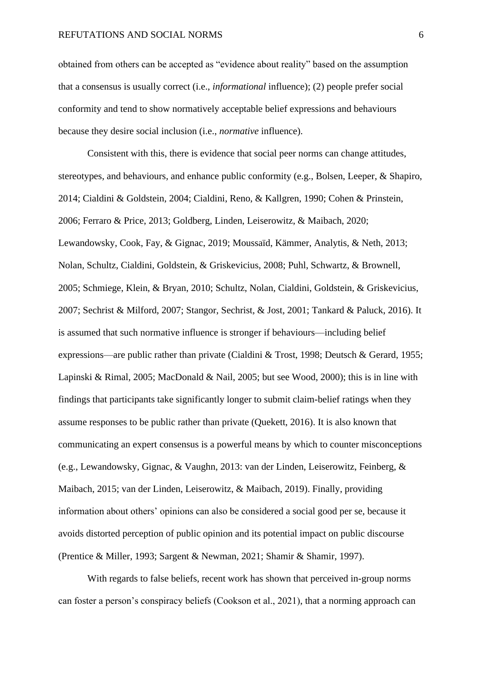obtained from others can be accepted as "evidence about reality" based on the assumption that a consensus is usually correct (i.e., *informational* influence); (2) people prefer social conformity and tend to show normatively acceptable belief expressions and behaviours because they desire social inclusion (i.e., *normative* influence).

Consistent with this, there is evidence that social peer norms can change attitudes, stereotypes, and behaviours, and enhance public conformity (e.g., Bolsen, Leeper, & Shapiro, 2014; Cialdini & Goldstein, 2004; Cialdini, Reno, & Kallgren, 1990; Cohen & Prinstein, 2006; Ferraro & Price, 2013; Goldberg, Linden, Leiserowitz, & Maibach, 2020; Lewandowsky, Cook, Fay, & Gignac, 2019; Moussaïd, Kämmer, Analytis, & Neth, 2013; Nolan, Schultz, Cialdini, Goldstein, & Griskevicius, 2008; Puhl, Schwartz, & Brownell, 2005; Schmiege, Klein, & Bryan, 2010; Schultz, Nolan, Cialdini, Goldstein, & Griskevicius, 2007; Sechrist & Milford, 2007; Stangor, Sechrist, & Jost, 2001; Tankard & Paluck, 2016). It is assumed that such normative influence is stronger if behaviours—including belief expressions—are public rather than private (Cialdini & Trost, 1998; Deutsch & Gerard, 1955; Lapinski & Rimal, 2005; MacDonald & Nail, 2005; but see Wood, 2000); this is in line with findings that participants take significantly longer to submit claim-belief ratings when they assume responses to be public rather than private (Quekett, 2016). It is also known that communicating an expert consensus is a powerful means by which to counter misconceptions (e.g., Lewandowsky, Gignac, & Vaughn, 2013: van der Linden, Leiserowitz, Feinberg, & Maibach, 2015; van der Linden, Leiserowitz, & Maibach, 2019). Finally, providing information about others' opinions can also be considered a social good per se, because it avoids distorted perception of public opinion and its potential impact on public discourse (Prentice & Miller, 1993; Sargent & Newman, 2021; Shamir & Shamir, 1997).

With regards to false beliefs, recent work has shown that perceived in-group norms can foster a person's conspiracy beliefs (Cookson et al., 2021), that a norming approach can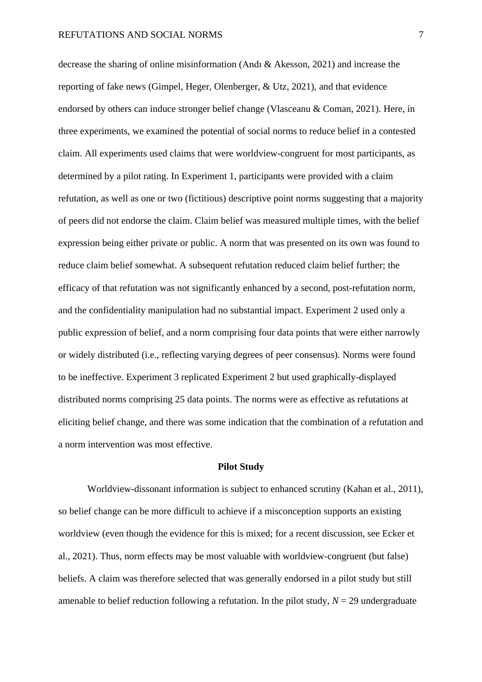decrease the sharing of online misinformation (Andı & Akesson, 2021) and increase the reporting of fake news (Gimpel, Heger, Olenberger, & Utz, 2021), and that evidence endorsed by others can induce stronger belief change (Vlasceanu & Coman, 2021). Here, in three experiments, we examined the potential of social norms to reduce belief in a contested claim. All experiments used claims that were worldview-congruent for most participants, as determined by a pilot rating. In Experiment 1, participants were provided with a claim refutation, as well as one or two (fictitious) descriptive point norms suggesting that a majority of peers did not endorse the claim. Claim belief was measured multiple times, with the belief expression being either private or public. A norm that was presented on its own was found to reduce claim belief somewhat. A subsequent refutation reduced claim belief further; the efficacy of that refutation was not significantly enhanced by a second, post-refutation norm, and the confidentiality manipulation had no substantial impact. Experiment 2 used only a public expression of belief, and a norm comprising four data points that were either narrowly or widely distributed (i.e., reflecting varying degrees of peer consensus). Norms were found to be ineffective. Experiment 3 replicated Experiment 2 but used graphically-displayed distributed norms comprising 25 data points. The norms were as effective as refutations at eliciting belief change, and there was some indication that the combination of a refutation and a norm intervention was most effective.

#### **Pilot Study**

Worldview-dissonant information is subject to enhanced scrutiny (Kahan et al., 2011), so belief change can be more difficult to achieve if a misconception supports an existing worldview (even though the evidence for this is mixed; for a recent discussion, see Ecker et al., 2021). Thus, norm effects may be most valuable with worldview-congruent (but false) beliefs. A claim was therefore selected that was generally endorsed in a pilot study but still amenable to belief reduction following a refutation. In the pilot study,  $N = 29$  undergraduate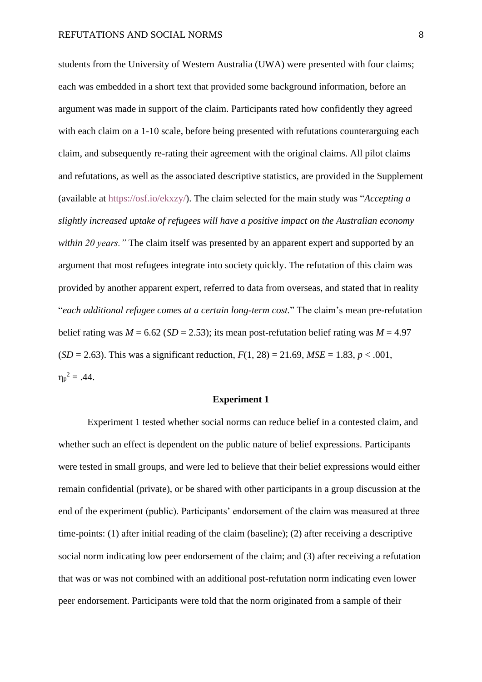students from the University of Western Australia (UWA) were presented with four claims; each was embedded in a short text that provided some background information, before an argument was made in support of the claim. Participants rated how confidently they agreed with each claim on a 1-10 scale, before being presented with refutations counterarguing each claim, and subsequently re-rating their agreement with the original claims. All pilot claims and refutations, as well as the associated descriptive statistics, are provided in the Supplement (available at [https://osf.io/ekxzy/\)](https://osf.io/ekxzy/). The claim selected for the main study was "*Accepting a slightly increased uptake of refugees will have a positive impact on the Australian economy within 20 years."* The claim itself was presented by an apparent expert and supported by an argument that most refugees integrate into society quickly. The refutation of this claim was provided by another apparent expert, referred to data from overseas, and stated that in reality "*each additional refugee comes at a certain long-term cost.*" The claim's mean pre-refutation belief rating was  $M = 6.62$  (*SD* = 2.53); its mean post-refutation belief rating was  $M = 4.97$  $(SD = 2.63)$ . This was a significant reduction,  $F(1, 28) = 21.69$ ,  $MSE = 1.83$ ,  $p < .001$ ,  $\eta_p^2 = .44$ .

### **Experiment 1**

Experiment 1 tested whether social norms can reduce belief in a contested claim, and whether such an effect is dependent on the public nature of belief expressions. Participants were tested in small groups, and were led to believe that their belief expressions would either remain confidential (private), or be shared with other participants in a group discussion at the end of the experiment (public). Participants' endorsement of the claim was measured at three time-points: (1) after initial reading of the claim (baseline); (2) after receiving a descriptive social norm indicating low peer endorsement of the claim; and (3) after receiving a refutation that was or was not combined with an additional post-refutation norm indicating even lower peer endorsement. Participants were told that the norm originated from a sample of their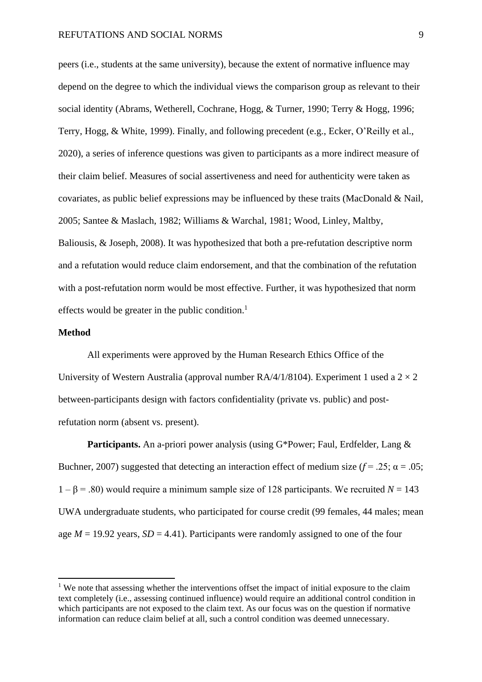peers (i.e., students at the same university), because the extent of normative influence may depend on the degree to which the individual views the comparison group as relevant to their social identity (Abrams, Wetherell, Cochrane, Hogg, & Turner, 1990; Terry & Hogg, 1996; Terry, Hogg, & White, 1999). Finally, and following precedent (e.g., Ecker, O'Reilly et al., 2020), a series of inference questions was given to participants as a more indirect measure of their claim belief. Measures of social assertiveness and need for authenticity were taken as covariates, as public belief expressions may be influenced by these traits (MacDonald & Nail, 2005; Santee & Maslach, 1982; Williams & Warchal, 1981; Wood, Linley, Maltby, Baliousis, & Joseph, 2008). It was hypothesized that both a pre-refutation descriptive norm and a refutation would reduce claim endorsement, and that the combination of the refutation with a post-refutation norm would be most effective. Further, it was hypothesized that norm effects would be greater in the public condition. $<sup>1</sup>$ </sup>

## **Method**

All experiments were approved by the Human Research Ethics Office of the University of Western Australia (approval number  $RA/4/1/8104$ ). Experiment 1 used a  $2 \times 2$ between-participants design with factors confidentiality (private vs. public) and postrefutation norm (absent vs. present).

**Participants.** An a-priori power analysis (using G\*Power; Faul, Erdfelder, Lang & Buchner, 2007) suggested that detecting an interaction effect of medium size ( $f = .25$ ;  $\alpha = .05$ ; 1 – β = .80) would require a minimum sample size of 128 participants. We recruited *N* = 143 UWA undergraduate students, who participated for course credit (99 females, 44 males; mean age  $M = 19.92$  years,  $SD = 4.41$ ). Participants were randomly assigned to one of the four

<sup>&</sup>lt;sup>1</sup> We note that assessing whether the interventions offset the impact of initial exposure to the claim text completely (i.e., assessing continued influence) would require an additional control condition in which participants are not exposed to the claim text. As our focus was on the question if normative information can reduce claim belief at all, such a control condition was deemed unnecessary.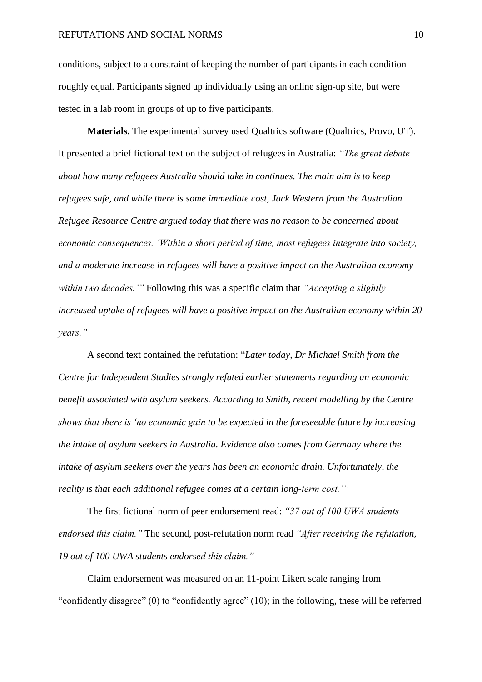conditions, subject to a constraint of keeping the number of participants in each condition roughly equal. Participants signed up individually using an online sign-up site, but were tested in a lab room in groups of up to five participants.

**Materials.** The experimental survey used Qualtrics software (Qualtrics, Provo, UT). It presented a brief fictional text on the subject of refugees in Australia: *"The great debate about how many refugees Australia should take in continues. The main aim is to keep refugees safe, and while there is some immediate cost, Jack Western from the Australian Refugee Resource Centre argued today that there was no reason to be concerned about economic consequences. 'Within a short period of time, most refugees integrate into society, and a moderate increase in refugees will have a positive impact on the Australian economy within two decades.'"* Following this was a specific claim that *"Accepting a slightly increased uptake of refugees will have a positive impact on the Australian economy within 20 years."*

A second text contained the refutation: "*Later today, Dr Michael Smith from the Centre for Independent Studies strongly refuted earlier statements regarding an economic benefit associated with asylum seekers. According to Smith, recent modelling by the Centre shows that there is 'no economic gain to be expected in the foreseeable future by increasing the intake of asylum seekers in Australia. Evidence also comes from Germany where the intake of asylum seekers over the years has been an economic drain. Unfortunately, the reality is that each additional refugee comes at a certain long-term cost.'"*

The first fictional norm of peer endorsement read: *"37 out of 100 UWA students endorsed this claim."* The second, post-refutation norm read *"After receiving the refutation, 19 out of 100 UWA students endorsed this claim."*

Claim endorsement was measured on an 11-point Likert scale ranging from "confidently disagree" (0) to "confidently agree" (10); in the following, these will be referred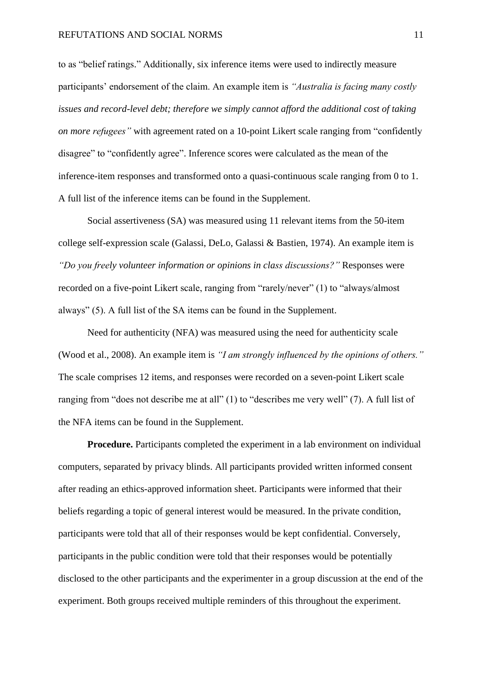to as "belief ratings." Additionally, six inference items were used to indirectly measure participants' endorsement of the claim. An example item is *"Australia is facing many costly issues and record-level debt; therefore we simply cannot afford the additional cost of taking on more refugees"* with agreement rated on a 10-point Likert scale ranging from "confidently disagree" to "confidently agree". Inference scores were calculated as the mean of the inference-item responses and transformed onto a quasi-continuous scale ranging from 0 to 1. A full list of the inference items can be found in the Supplement.

Social assertiveness (SA) was measured using 11 relevant items from the 50-item college self-expression scale (Galassi, DeLo, Galassi & Bastien, 1974). An example item is *"Do you freely volunteer information or opinions in class discussions?"* Responses were recorded on a five-point Likert scale, ranging from "rarely/never" (1) to "always/almost always" (5). A full list of the SA items can be found in the Supplement.

Need for authenticity (NFA) was measured using the need for authenticity scale (Wood et al., 2008). An example item is *"I am strongly influenced by the opinions of others."*  The scale comprises 12 items, and responses were recorded on a seven-point Likert scale ranging from "does not describe me at all" (1) to "describes me very well" (7). A full list of the NFA items can be found in the Supplement.

**Procedure.** Participants completed the experiment in a lab environment on individual computers, separated by privacy blinds. All participants provided written informed consent after reading an ethics-approved information sheet. Participants were informed that their beliefs regarding a topic of general interest would be measured. In the private condition, participants were told that all of their responses would be kept confidential. Conversely, participants in the public condition were told that their responses would be potentially disclosed to the other participants and the experimenter in a group discussion at the end of the experiment. Both groups received multiple reminders of this throughout the experiment.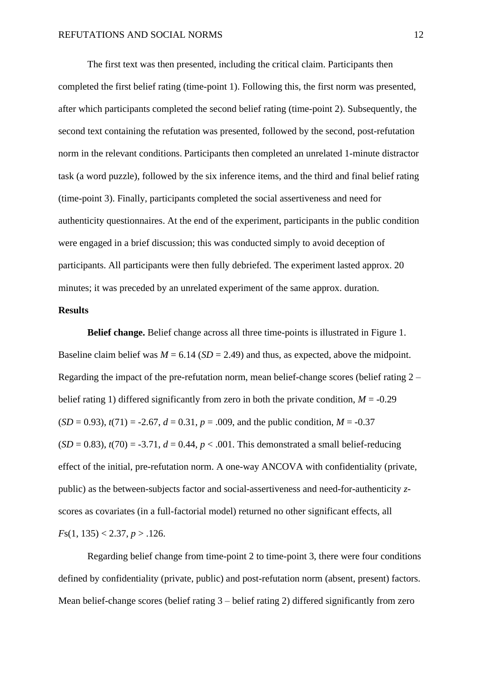The first text was then presented, including the critical claim. Participants then completed the first belief rating (time-point 1). Following this, the first norm was presented, after which participants completed the second belief rating (time-point 2). Subsequently, the second text containing the refutation was presented, followed by the second, post-refutation norm in the relevant conditions. Participants then completed an unrelated 1-minute distractor task (a word puzzle), followed by the six inference items, and the third and final belief rating (time-point 3). Finally, participants completed the social assertiveness and need for authenticity questionnaires. At the end of the experiment, participants in the public condition were engaged in a brief discussion; this was conducted simply to avoid deception of participants. All participants were then fully debriefed. The experiment lasted approx. 20 minutes; it was preceded by an unrelated experiment of the same approx. duration.

## **Results**

**Belief change.** Belief change across all three time-points is illustrated in Figure 1. Baseline claim belief was  $M = 6.14$  (*SD* = 2.49) and thus, as expected, above the midpoint. Regarding the impact of the pre-refutation norm, mean belief-change scores (belief rating  $2$ belief rating 1) differed significantly from zero in both the private condition,  $M = -0.29$  $(SD = 0.93)$ ,  $t(71) = -2.67$ ,  $d = 0.31$ ,  $p = .009$ , and the public condition,  $M = -0.37$  $(SD = 0.83)$ ,  $t(70) = -3.71$ ,  $d = 0.44$ ,  $p < .001$ . This demonstrated a small belief-reducing effect of the initial, pre-refutation norm. A one-way ANCOVA with confidentiality (private, public) as the between-subjects factor and social-assertiveness and need-for-authenticity *z*scores as covariates (in a full-factorial model) returned no other significant effects, all  $Fs(1, 135) < 2.37, p > .126.$ 

Regarding belief change from time-point 2 to time-point 3, there were four conditions defined by confidentiality (private, public) and post-refutation norm (absent, present) factors. Mean belief-change scores (belief rating 3 – belief rating 2) differed significantly from zero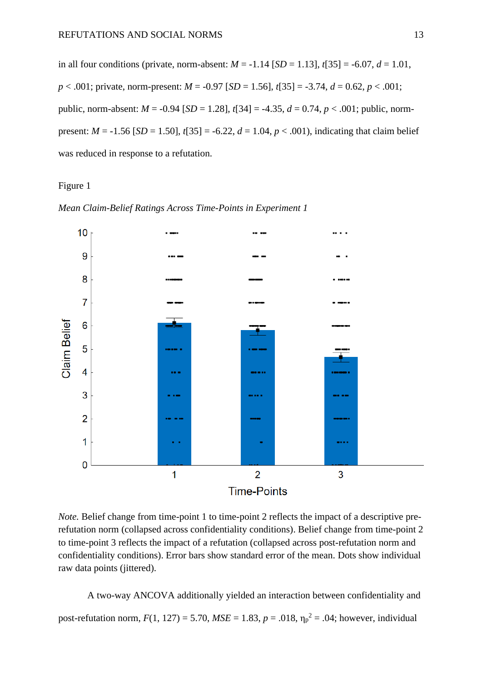in all four conditions (private, norm-absent:  $M = -1.14$  [ $SD = 1.13$ ],  $t[35] = -6.07$ ,  $d = 1.01$ , *p* < .001; private, norm-present: *M* = -0.97 [*SD* = 1.56], *t*[35] = -3.74, *d* = 0.62, *p* < .001; public, norm-absent: *M* = -0.94 [*SD* = 1.28], *t*[34] = -4.35, *d* = 0.74, *p* < .001; public, normpresent:  $M = -1.56$  [*SD* = 1.50],  $t$ [35] = -6.22,  $d = 1.04$ ,  $p < .001$ ), indicating that claim belief was reduced in response to a refutation.

## Figure 1





*Note.* Belief change from time-point 1 to time-point 2 reflects the impact of a descriptive prerefutation norm (collapsed across confidentiality conditions). Belief change from time-point 2 to time-point 3 reflects the impact of a refutation (collapsed across post-refutation norm and confidentiality conditions). Error bars show standard error of the mean. Dots show individual raw data points (jittered).

A two-way ANCOVA additionally yielded an interaction between confidentiality and post-refutation norm,  $F(1, 127) = 5.70$ ,  $MSE = 1.83$ ,  $p = .018$ ,  $\eta_p^2 = .04$ ; however, individual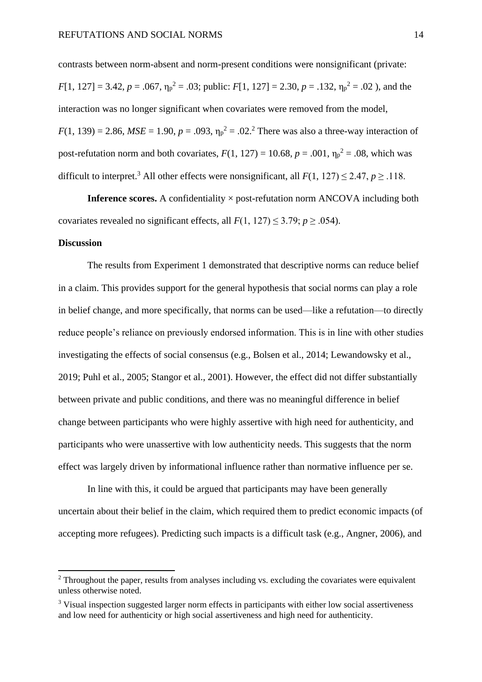contrasts between norm-absent and norm-present conditions were nonsignificant (private:  $F[1, 127] = 3.42, p = .067, \eta_p^2 = .03$ ; public:  $F[1, 127] = 2.30, p = .132, \eta_p^2 = .02$ ), and the interaction was no longer significant when covariates were removed from the model,  $F(1, 139) = 2.86$ ,  $MSE = 1.90$ ,  $p = .093$ ,  $\eta_p^2 = .02$ .<sup>2</sup> There was also a three-way interaction of post-refutation norm and both covariates,  $F(1, 127) = 10.68$ ,  $p = .001$ ,  $\eta_p^2 = .08$ , which was difficult to interpret.<sup>3</sup> All other effects were nonsignificant, all  $F(1, 127) \le 2.47$ ,  $p > .118$ .

**Inference scores.** A confidentiality  $\times$  post-refutation norm ANCOVA including both covariates revealed no significant effects, all  $F(1, 127) \le 3.79$ ;  $p \ge .054$ ).

## **Discussion**

The results from Experiment 1 demonstrated that descriptive norms can reduce belief in a claim. This provides support for the general hypothesis that social norms can play a role in belief change, and more specifically, that norms can be used—like a refutation—to directly reduce people's reliance on previously endorsed information. This is in line with other studies investigating the effects of social consensus (e.g., Bolsen et al., 2014; Lewandowsky et al., 2019; Puhl et al., 2005; Stangor et al., 2001). However, the effect did not differ substantially between private and public conditions, and there was no meaningful difference in belief change between participants who were highly assertive with high need for authenticity, and participants who were unassertive with low authenticity needs. This suggests that the norm effect was largely driven by informational influence rather than normative influence per se.

In line with this, it could be argued that participants may have been generally uncertain about their belief in the claim, which required them to predict economic impacts (of accepting more refugees). Predicting such impacts is a difficult task (e.g., Angner, 2006), and

 $2$  Throughout the paper, results from analyses including vs. excluding the covariates were equivalent unless otherwise noted.

<sup>&</sup>lt;sup>3</sup> Visual inspection suggested larger norm effects in participants with either low social assertiveness and low need for authenticity or high social assertiveness and high need for authenticity.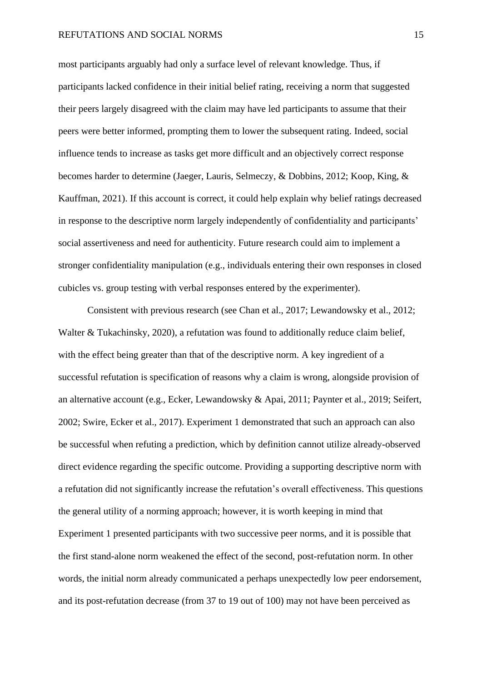most participants arguably had only a surface level of relevant knowledge. Thus, if participants lacked confidence in their initial belief rating, receiving a norm that suggested their peers largely disagreed with the claim may have led participants to assume that their peers were better informed, prompting them to lower the subsequent rating. Indeed, social influence tends to increase as tasks get more difficult and an objectively correct response becomes harder to determine (Jaeger, Lauris, Selmeczy, & Dobbins, 2012; Koop, King, & Kauffman, 2021). If this account is correct, it could help explain why belief ratings decreased in response to the descriptive norm largely independently of confidentiality and participants' social assertiveness and need for authenticity. Future research could aim to implement a stronger confidentiality manipulation (e.g., individuals entering their own responses in closed cubicles vs. group testing with verbal responses entered by the experimenter).

Consistent with previous research (see Chan et al., 2017; Lewandowsky et al., 2012; Walter & Tukachinsky, 2020), a refutation was found to additionally reduce claim belief, with the effect being greater than that of the descriptive norm. A key ingredient of a successful refutation is specification of reasons why a claim is wrong, alongside provision of an alternative account (e.g., Ecker, Lewandowsky & Apai, 2011; Paynter et al., 2019; Seifert, 2002; Swire, Ecker et al., 2017). Experiment 1 demonstrated that such an approach can also be successful when refuting a prediction, which by definition cannot utilize already-observed direct evidence regarding the specific outcome. Providing a supporting descriptive norm with a refutation did not significantly increase the refutation's overall effectiveness. This questions the general utility of a norming approach; however, it is worth keeping in mind that Experiment 1 presented participants with two successive peer norms, and it is possible that the first stand-alone norm weakened the effect of the second, post-refutation norm. In other words, the initial norm already communicated a perhaps unexpectedly low peer endorsement, and its post-refutation decrease (from 37 to 19 out of 100) may not have been perceived as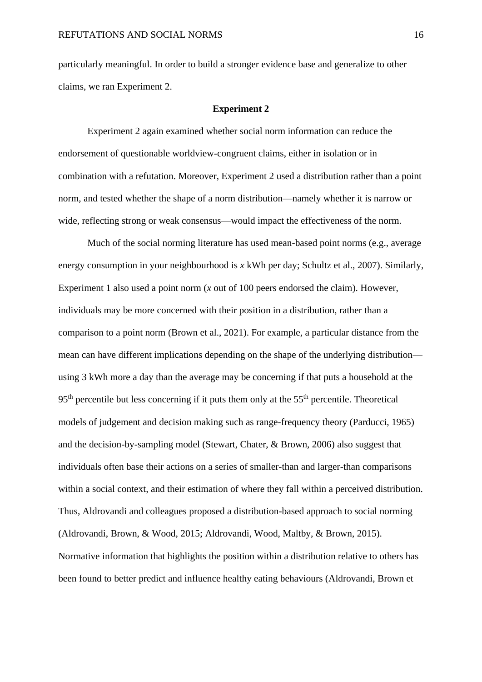particularly meaningful. In order to build a stronger evidence base and generalize to other claims, we ran Experiment 2.

#### **Experiment 2**

Experiment 2 again examined whether social norm information can reduce the endorsement of questionable worldview-congruent claims, either in isolation or in combination with a refutation. Moreover, Experiment 2 used a distribution rather than a point norm, and tested whether the shape of a norm distribution—namely whether it is narrow or wide, reflecting strong or weak consensus—would impact the effectiveness of the norm.

Much of the social norming literature has used mean-based point norms (e.g., average energy consumption in your neighbourhood is *x* kWh per day; Schultz et al., 2007). Similarly, Experiment 1 also used a point norm (*x* out of 100 peers endorsed the claim). However, individuals may be more concerned with their position in a distribution, rather than a comparison to a point norm (Brown et al., 2021). For example, a particular distance from the mean can have different implications depending on the shape of the underlying distribution using 3 kWh more a day than the average may be concerning if that puts a household at the  $95<sup>th</sup>$  percentile but less concerning if it puts them only at the  $55<sup>th</sup>$  percentile. Theoretical models of judgement and decision making such as range-frequency theory (Parducci, 1965) and the decision-by-sampling model (Stewart, Chater, & Brown, 2006) also suggest that individuals often base their actions on a series of smaller-than and larger-than comparisons within a social context, and their estimation of where they fall within a perceived distribution. Thus, Aldrovandi and colleagues proposed a distribution-based approach to social norming (Aldrovandi, Brown, & Wood, 2015; Aldrovandi, Wood, Maltby, & Brown, 2015). Normative information that highlights the position within a distribution relative to others has been found to better predict and influence healthy eating behaviours (Aldrovandi, Brown et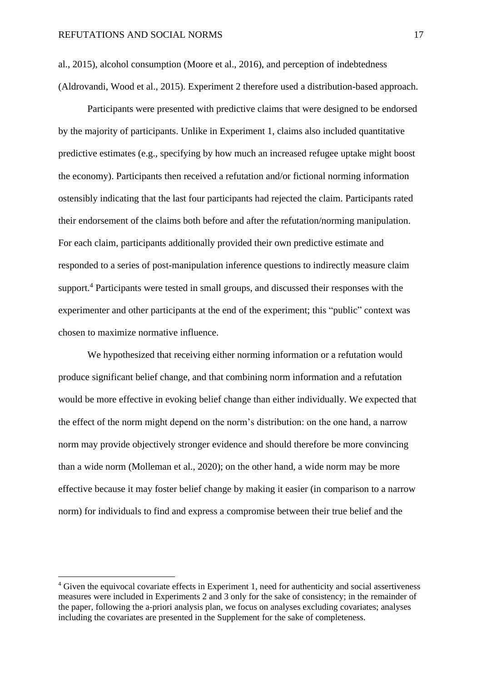al., 2015), alcohol consumption (Moore et al., 2016), and perception of indebtedness (Aldrovandi, Wood et al., 2015). Experiment 2 therefore used a distribution-based approach.

Participants were presented with predictive claims that were designed to be endorsed by the majority of participants. Unlike in Experiment 1, claims also included quantitative predictive estimates (e.g., specifying by how much an increased refugee uptake might boost the economy). Participants then received a refutation and/or fictional norming information ostensibly indicating that the last four participants had rejected the claim. Participants rated their endorsement of the claims both before and after the refutation/norming manipulation. For each claim, participants additionally provided their own predictive estimate and responded to a series of post-manipulation inference questions to indirectly measure claim support.<sup>4</sup> Participants were tested in small groups, and discussed their responses with the experimenter and other participants at the end of the experiment; this "public" context was chosen to maximize normative influence.

We hypothesized that receiving either norming information or a refutation would produce significant belief change, and that combining norm information and a refutation would be more effective in evoking belief change than either individually. We expected that the effect of the norm might depend on the norm's distribution: on the one hand, a narrow norm may provide objectively stronger evidence and should therefore be more convincing than a wide norm (Molleman et al., 2020); on the other hand, a wide norm may be more effective because it may foster belief change by making it easier (in comparison to a narrow norm) for individuals to find and express a compromise between their true belief and the

<sup>&</sup>lt;sup>4</sup> Given the equivocal covariate effects in Experiment 1, need for authenticity and social assertiveness measures were included in Experiments 2 and 3 only for the sake of consistency; in the remainder of the paper, following the a-priori analysis plan, we focus on analyses excluding covariates; analyses including the covariates are presented in the Supplement for the sake of completeness.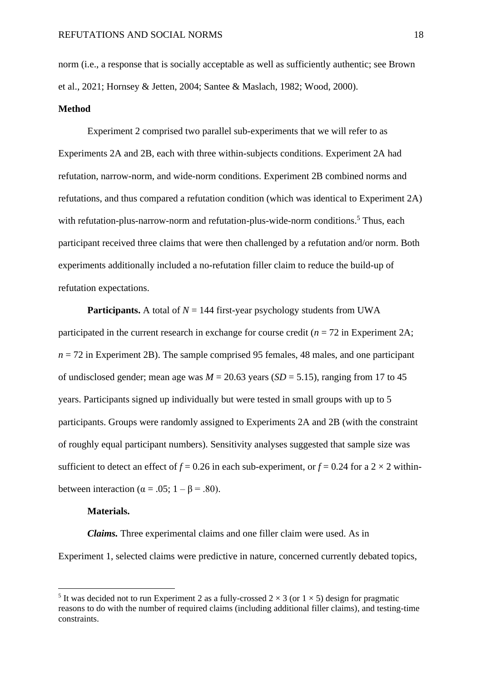norm (i.e., a response that is socially acceptable as well as sufficiently authentic; see Brown et al., 2021; Hornsey & Jetten, 2004; Santee & Maslach, 1982; Wood, 2000).

### **Method**

Experiment 2 comprised two parallel sub-experiments that we will refer to as Experiments 2A and 2B, each with three within-subjects conditions. Experiment 2A had refutation, narrow-norm, and wide-norm conditions. Experiment 2B combined norms and refutations, and thus compared a refutation condition (which was identical to Experiment 2A) with refutation-plus-narrow-norm and refutation-plus-wide-norm conditions.<sup>5</sup> Thus, each participant received three claims that were then challenged by a refutation and/or norm. Both experiments additionally included a no-refutation filler claim to reduce the build-up of refutation expectations.

**Participants.** A total of  $N = 144$  first-year psychology students from UWA participated in the current research in exchange for course credit (*n* = 72 in Experiment 2A;  $n = 72$  in Experiment 2B). The sample comprised 95 females, 48 males, and one participant of undisclosed gender; mean age was  $M = 20.63$  years (*SD* = 5.15), ranging from 17 to 45 years. Participants signed up individually but were tested in small groups with up to 5 participants. Groups were randomly assigned to Experiments 2A and 2B (with the constraint of roughly equal participant numbers). Sensitivity analyses suggested that sample size was sufficient to detect an effect of  $f = 0.26$  in each sub-experiment, or  $f = 0.24$  for a  $2 \times 2$  withinbetween interaction ( $\alpha = .05$ ; 1 –  $\beta = .80$ ).

### **Materials.**

*Claims.* Three experimental claims and one filler claim were used. As in Experiment 1, selected claims were predictive in nature, concerned currently debated topics,

<sup>&</sup>lt;sup>5</sup> It was decided not to run Experiment 2 as a fully-crossed  $2 \times 3$  (or  $1 \times 5$ ) design for pragmatic reasons to do with the number of required claims (including additional filler claims), and testing-time constraints.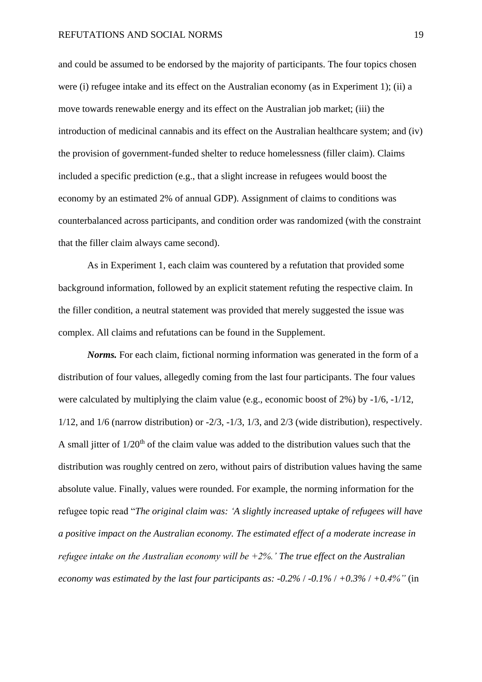and could be assumed to be endorsed by the majority of participants. The four topics chosen were (i) refugee intake and its effect on the Australian economy (as in Experiment 1); (ii) a move towards renewable energy and its effect on the Australian job market; (iii) the introduction of medicinal cannabis and its effect on the Australian healthcare system; and (iv) the provision of government-funded shelter to reduce homelessness (filler claim). Claims included a specific prediction (e.g., that a slight increase in refugees would boost the economy by an estimated 2% of annual GDP). Assignment of claims to conditions was counterbalanced across participants, and condition order was randomized (with the constraint that the filler claim always came second).

As in Experiment 1, each claim was countered by a refutation that provided some background information, followed by an explicit statement refuting the respective claim. In the filler condition, a neutral statement was provided that merely suggested the issue was complex. All claims and refutations can be found in the Supplement.

*Norms.* For each claim, fictional norming information was generated in the form of a distribution of four values, allegedly coming from the last four participants. The four values were calculated by multiplying the claim value (e.g., economic boost of 2%) by -1/6, -1/12,  $1/12$ , and  $1/6$  (narrow distribution) or  $-2/3$ ,  $-1/3$ ,  $1/3$ , and  $2/3$  (wide distribution), respectively. A small jitter of  $1/20<sup>th</sup>$  of the claim value was added to the distribution values such that the distribution was roughly centred on zero, without pairs of distribution values having the same absolute value. Finally, values were rounded. For example, the norming information for the refugee topic read "*The original claim was: 'A slightly increased uptake of refugees will have a positive impact on the Australian economy. The estimated effect of a moderate increase in refugee intake on the Australian economy will be +2%.' The true effect on the Australian economy was estimated by the last four participants as: -0.2%* / *-0.1%* / *+0.3%* / *+0.4%"* (in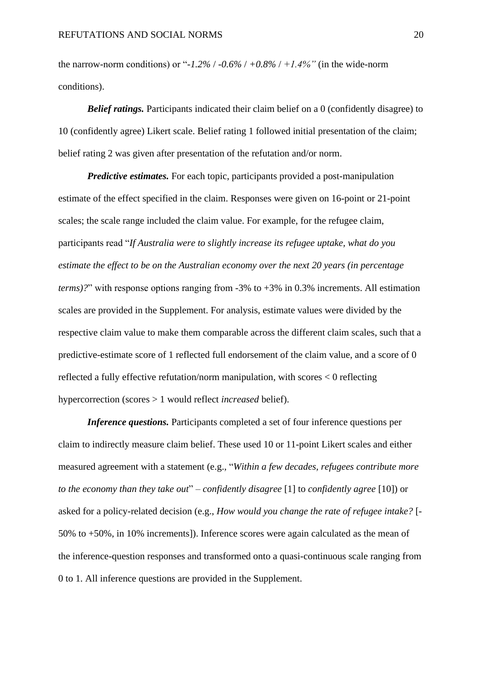the narrow-norm conditions) or " $-1.2\%$  /  $-0.6\%$  /  $+0.8\%$  /  $+1.4\%$ " (in the wide-norm conditions).

*Belief ratings.* Participants indicated their claim belief on a 0 (confidently disagree) to 10 (confidently agree) Likert scale. Belief rating 1 followed initial presentation of the claim; belief rating 2 was given after presentation of the refutation and/or norm.

*Predictive estimates.* For each topic, participants provided a post-manipulation estimate of the effect specified in the claim. Responses were given on 16-point or 21-point scales; the scale range included the claim value. For example, for the refugee claim, participants read "*If Australia were to slightly increase its refugee uptake, what do you estimate the effect to be on the Australian economy over the next 20 years (in percentage terms)?*" with response options ranging from -3% to +3% in 0.3% increments. All estimation scales are provided in the Supplement. For analysis, estimate values were divided by the respective claim value to make them comparable across the different claim scales, such that a predictive-estimate score of 1 reflected full endorsement of the claim value, and a score of 0 reflected a fully effective refutation/norm manipulation, with scores < 0 reflecting hypercorrection (scores > 1 would reflect *increased* belief).

*Inference questions.* Participants completed a set of four inference questions per claim to indirectly measure claim belief. These used 10 or 11-point Likert scales and either measured agreement with a statement (e.g., "*Within a few decades, refugees contribute more to the economy than they take out*" – *confidently disagree* [1] to *confidently agree* [10]) or asked for a policy-related decision (e.g., *How would you change the rate of refugee intake?* [- 50% to +50%, in 10% increments]). Inference scores were again calculated as the mean of the inference-question responses and transformed onto a quasi-continuous scale ranging from 0 to 1. All inference questions are provided in the Supplement.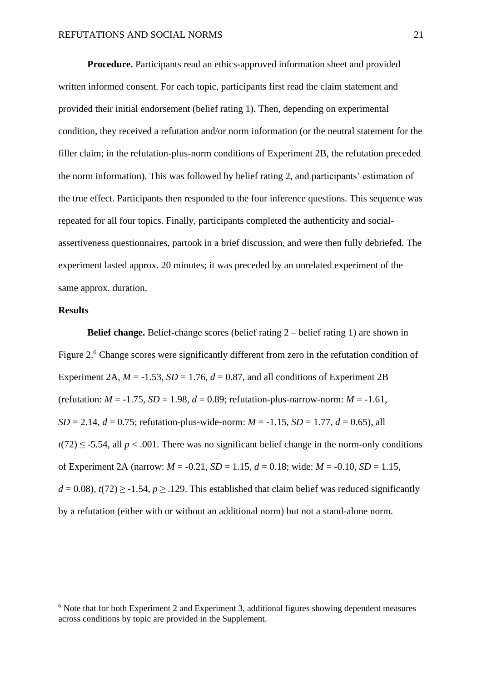**Procedure.** Participants read an ethics-approved information sheet and provided written informed consent. For each topic, participants first read the claim statement and provided their initial endorsement (belief rating 1). Then, depending on experimental condition, they received a refutation and/or norm information (or the neutral statement for the filler claim; in the refutation-plus-norm conditions of Experiment 2B, the refutation preceded the norm information). This was followed by belief rating 2, and participants' estimation of the true effect. Participants then responded to the four inference questions. This sequence was repeated for all four topics. Finally, participants completed the authenticity and socialassertiveness questionnaires, partook in a brief discussion, and were then fully debriefed. The experiment lasted approx. 20 minutes; it was preceded by an unrelated experiment of the same approx. duration.

## **Results**

**Belief change.** Belief-change scores (belief rating 2 – belief rating 1) are shown in Figure 2.<sup>6</sup> Change scores were significantly different from zero in the refutation condition of Experiment 2A,  $M = -1.53$ ,  $SD = 1.76$ ,  $d = 0.87$ , and all conditions of Experiment 2B (refutation:  $M = -1.75$ ,  $SD = 1.98$ ,  $d = 0.89$ ; refutation-plus-narrow-norm:  $M = -1.61$ , *SD* = 2.14, *d* = 0.75; refutation-plus-wide-norm:  $M = -1.15$ , *SD* = 1.77, *d* = 0.65), all  $t(72) \leq -5.54$ , all  $p < .001$ . There was no significant belief change in the norm-only conditions of Experiment 2A (narrow: *M* = -0.21, *SD* = 1.15, *d* = 0.18; wide: *M* = -0.10, *SD* = 1.15,  $d = 0.08$ ),  $t(72) \ge -1.54$ ,  $p \ge 0.129$ . This established that claim belief was reduced significantly by a refutation (either with or without an additional norm) but not a stand-alone norm.

 $6$  Note that for both Experiment 2 and Experiment 3, additional figures showing dependent measures across conditions by topic are provided in the Supplement.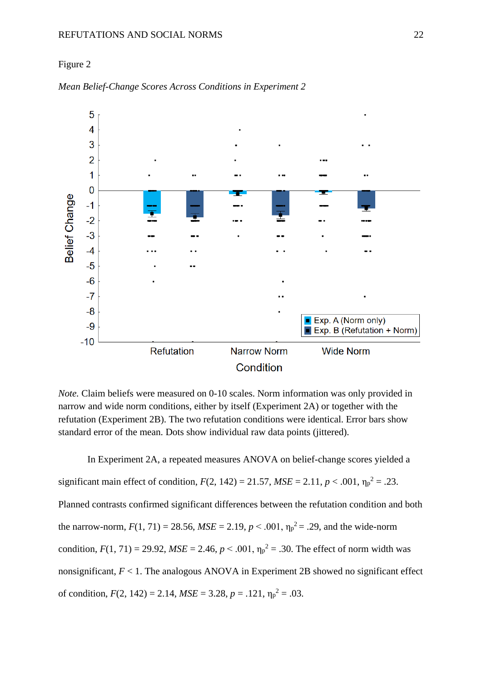#### REFUTATIONS AND SOCIAL NORMS 22

### Figure 2



*Mean Belief-Change Scores Across Conditions in Experiment 2*

*Note.* Claim beliefs were measured on 0-10 scales. Norm information was only provided in narrow and wide norm conditions, either by itself (Experiment 2A) or together with the refutation (Experiment 2B). The two refutation conditions were identical. Error bars show standard error of the mean. Dots show individual raw data points (jittered).

In Experiment 2A, a repeated measures ANOVA on belief-change scores yielded a significant main effect of condition,  $F(2, 142) = 21.57$ ,  $MSE = 2.11$ ,  $p < .001$ ,  $\eta_p^2 = .23$ . Planned contrasts confirmed significant differences between the refutation condition and both the narrow-norm,  $F(1, 71) = 28.56$ ,  $MSE = 2.19$ ,  $p < .001$ ,  $\eta_p^2 = .29$ , and the wide-norm condition,  $F(1, 71) = 29.92$ ,  $MSE = 2.46$ ,  $p < .001$ ,  $\eta_p^2 = .30$ . The effect of norm width was nonsignificant,  $F < 1$ . The analogous ANOVA in Experiment 2B showed no significant effect of condition,  $F(2, 142) = 2.14$ ,  $MSE = 3.28$ ,  $p = .121$ ,  $\eta_p^2 = .03$ .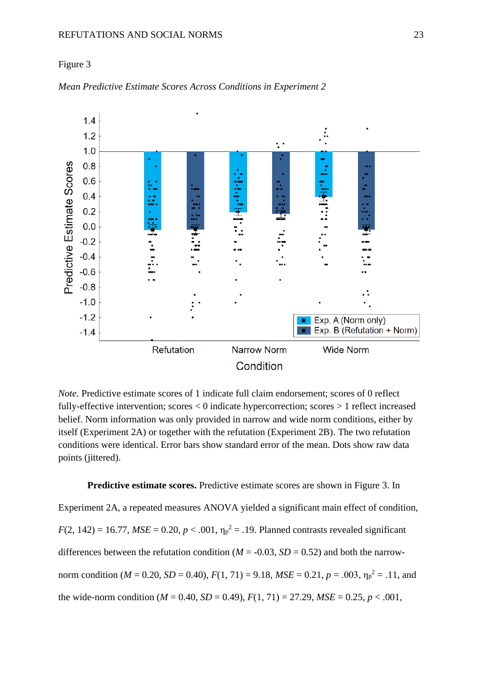#### REFUTATIONS AND SOCIAL NORMS 23

## Figure 3



*Mean Predictive Estimate Scores Across Conditions in Experiment 2*

*Note.* Predictive estimate scores of 1 indicate full claim endorsement; scores of 0 reflect fully-effective intervention; scores < 0 indicate hypercorrection; scores > 1 reflect increased belief. Norm information was only provided in narrow and wide norm conditions, either by itself (Experiment 2A) or together with the refutation (Experiment 2B). The two refutation conditions were identical. Error bars show standard error of the mean. Dots show raw data points (jittered).

## **Predictive estimate scores.** Predictive estimate scores are shown in Figure 3. In

Experiment 2A, a repeated measures ANOVA yielded a significant main effect of condition,  $F(2, 142) = 16.77$ ,  $MSE = 0.20$ ,  $p < .001$ ,  $\eta_p^2 = .19$ . Planned contrasts revealed significant differences between the refutation condition ( $M = -0.03$ ,  $SD = 0.52$ ) and both the narrownorm condition ( $M = 0.20$ ,  $SD = 0.40$ ),  $F(1, 71) = 9.18$ ,  $MSE = 0.21$ ,  $p = .003$ ,  $\eta_p^2 = .11$ , and the wide-norm condition ( $M = 0.40$ ,  $SD = 0.49$ ),  $F(1, 71) = 27.29$ ,  $MSE = 0.25$ ,  $p < .001$ ,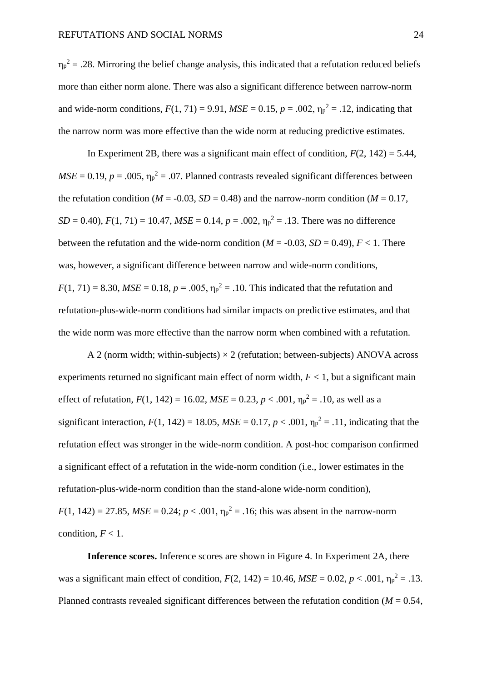$\eta_p^2$  = .28. Mirroring the belief change analysis, this indicated that a refutation reduced beliefs more than either norm alone. There was also a significant difference between narrow-norm and wide-norm conditions,  $F(1, 71) = 9.91$ ,  $MSE = 0.15$ ,  $p = .002$ ,  $\eta_p^2 = .12$ , indicating that the narrow norm was more effective than the wide norm at reducing predictive estimates.

In Experiment 2B, there was a significant main effect of condition,  $F(2, 142) = 5.44$ ,  $MSE = 0.19$ ,  $p = .005$ ,  $\eta_p^2 = .07$ . Planned contrasts revealed significant differences between the refutation condition ( $M = -0.03$ ,  $SD = 0.48$ ) and the narrow-norm condition ( $M = 0.17$ ,  $SD = 0.40$ ,  $F(1, 71) = 10.47$ ,  $MSE = 0.14$ ,  $p = .002$ ,  $\eta_p^2 = .13$ . There was no difference between the refutation and the wide-norm condition ( $M = -0.03$ ,  $SD = 0.49$ ),  $F < 1$ . There was, however, a significant difference between narrow and wide-norm conditions,  $F(1, 71) = 8.30, MSE = 0.18, p = .005, \eta_p^2 = .10$ . This indicated that the refutation and refutation-plus-wide-norm conditions had similar impacts on predictive estimates, and that the wide norm was more effective than the narrow norm when combined with a refutation.

A 2 (norm width; within-subjects)  $\times$  2 (refutation; between-subjects) ANOVA across experiments returned no significant main effect of norm width,  $F < 1$ , but a significant main effect of refutation,  $F(1, 142) = 16.02$ ,  $MSE = 0.23$ ,  $p < .001$ ,  $\eta_p^2 = .10$ , as well as a significant interaction,  $F(1, 142) = 18.05$ ,  $MSE = 0.17$ ,  $p < .001$ ,  $\eta_p^2 = .11$ , indicating that the refutation effect was stronger in the wide-norm condition. A post-hoc comparison confirmed a significant effect of a refutation in the wide-norm condition (i.e., lower estimates in the refutation-plus-wide-norm condition than the stand-alone wide-norm condition),  $F(1, 142) = 27.85$ ,  $MSE = 0.24$ ;  $p < .001$ ,  $\eta_p^2 = .16$ ; this was absent in the narrow-norm condition,  $F < 1$ .

**Inference scores.** Inference scores are shown in Figure 4. In Experiment 2A, there was a significant main effect of condition,  $F(2, 142) = 10.46$ ,  $MSE = 0.02$ ,  $p < .001$ ,  $\eta_p^2 = .13$ . Planned contrasts revealed significant differences between the refutation condition (*M* = 0.54,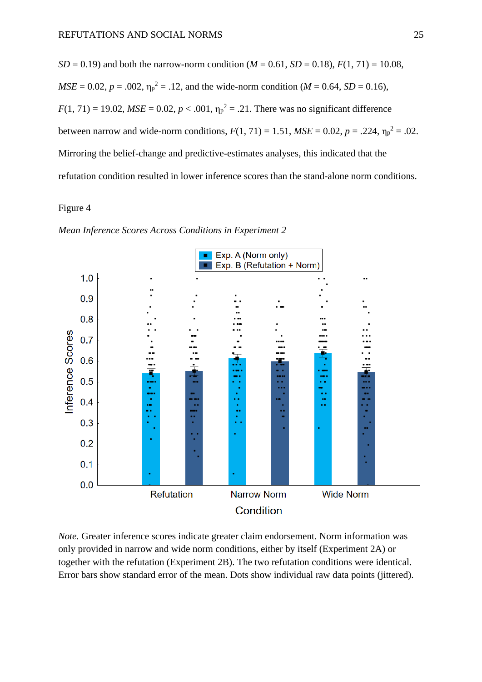*SD* = 0.19) and both the narrow-norm condition ( $M = 0.61$ , *SD* = 0.18),  $F(1, 71) = 10.08$ ,  $MSE = 0.02$ ,  $p = .002$ ,  $\eta_p^2 = .12$ , and the wide-norm condition (*M* = 0.64, *SD* = 0.16),  $F(1, 71) = 19.02$ ,  $MSE = 0.02$ ,  $p < .001$ ,  $\eta_p^2 = .21$ . There was no significant difference between narrow and wide-norm conditions,  $F(1, 71) = 1.51$ ,  $MSE = 0.02$ ,  $p = .224$ ,  $\eta_p^2 = .02$ . Mirroring the belief-change and predictive-estimates analyses, this indicated that the refutation condition resulted in lower inference scores than the stand-alone norm conditions.

## Figure 4

*Mean Inference Scores Across Conditions in Experiment 2*



*Note.* Greater inference scores indicate greater claim endorsement. Norm information was only provided in narrow and wide norm conditions, either by itself (Experiment 2A) or together with the refutation (Experiment 2B). The two refutation conditions were identical. Error bars show standard error of the mean. Dots show individual raw data points (jittered).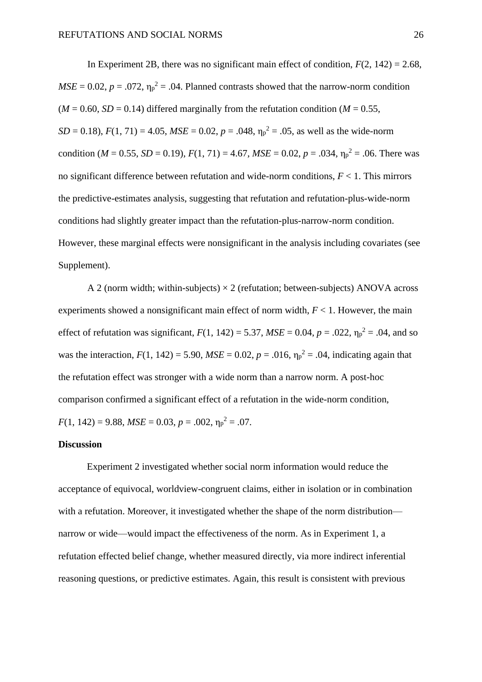In Experiment 2B, there was no significant main effect of condition,  $F(2, 142) = 2.68$ ,  $MSE = 0.02$ ,  $p = .072$ ,  $\eta_p^2 = .04$ . Planned contrasts showed that the narrow-norm condition  $(M = 0.60, SD = 0.14)$  differed marginally from the refutation condition  $(M = 0.55,$  $SD = 0.18$ ,  $F(1, 71) = 4.05$ ,  $MSE = 0.02$ ,  $p = .048$ ,  $\eta_p^2 = .05$ , as well as the wide-norm condition ( $M = 0.55$ ,  $SD = 0.19$ ),  $F(1, 71) = 4.67$ ,  $MSE = 0.02$ ,  $p = .034$ ,  $\eta_p^2 = .06$ . There was no significant difference between refutation and wide-norm conditions, *F* < 1. This mirrors the predictive-estimates analysis, suggesting that refutation and refutation-plus-wide-norm conditions had slightly greater impact than the refutation-plus-narrow-norm condition. However, these marginal effects were nonsignificant in the analysis including covariates (see Supplement).

A 2 (norm width; within-subjects)  $\times$  2 (refutation; between-subjects) ANOVA across experiments showed a nonsignificant main effect of norm width, *F* < 1. However, the main effect of refutation was significant,  $F(1, 142) = 5.37$ ,  $MSE = 0.04$ ,  $p = .022$ ,  $\eta_p^2 = .04$ , and so was the interaction,  $F(1, 142) = 5.90$ ,  $MSE = 0.02$ ,  $p = .016$ ,  $\eta_p^2 = .04$ , indicating again that the refutation effect was stronger with a wide norm than a narrow norm. A post-hoc comparison confirmed a significant effect of a refutation in the wide-norm condition,  $F(1, 142) = 9.88$ ,  $MSE = 0.03$ ,  $p = .002$ ,  $\eta_p^2 = .07$ .

#### **Discussion**

Experiment 2 investigated whether social norm information would reduce the acceptance of equivocal, worldview-congruent claims, either in isolation or in combination with a refutation. Moreover, it investigated whether the shape of the norm distribution narrow or wide—would impact the effectiveness of the norm. As in Experiment 1, a refutation effected belief change, whether measured directly, via more indirect inferential reasoning questions, or predictive estimates. Again, this result is consistent with previous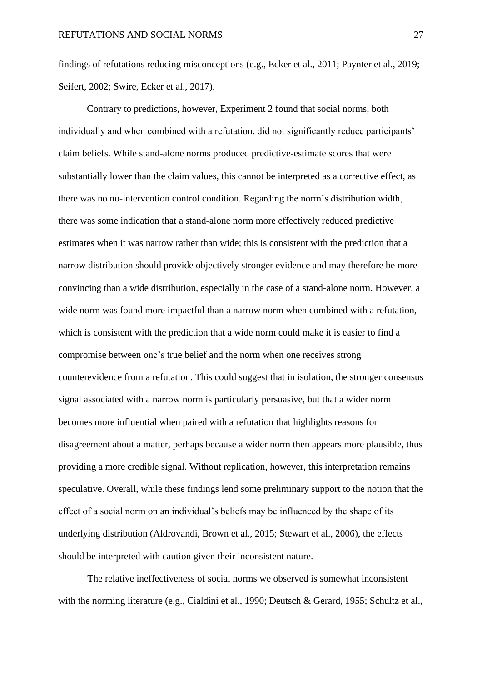findings of refutations reducing misconceptions (e.g., Ecker et al., 2011; Paynter et al., 2019; Seifert, 2002; Swire, Ecker et al., 2017).

Contrary to predictions, however, Experiment 2 found that social norms, both individually and when combined with a refutation, did not significantly reduce participants' claim beliefs. While stand-alone norms produced predictive-estimate scores that were substantially lower than the claim values, this cannot be interpreted as a corrective effect, as there was no no-intervention control condition. Regarding the norm's distribution width, there was some indication that a stand-alone norm more effectively reduced predictive estimates when it was narrow rather than wide; this is consistent with the prediction that a narrow distribution should provide objectively stronger evidence and may therefore be more convincing than a wide distribution, especially in the case of a stand-alone norm. However, a wide norm was found more impactful than a narrow norm when combined with a refutation, which is consistent with the prediction that a wide norm could make it is easier to find a compromise between one's true belief and the norm when one receives strong counterevidence from a refutation. This could suggest that in isolation, the stronger consensus signal associated with a narrow norm is particularly persuasive, but that a wider norm becomes more influential when paired with a refutation that highlights reasons for disagreement about a matter, perhaps because a wider norm then appears more plausible, thus providing a more credible signal. Without replication, however, this interpretation remains speculative. Overall, while these findings lend some preliminary support to the notion that the effect of a social norm on an individual's beliefs may be influenced by the shape of its underlying distribution (Aldrovandi, Brown et al., 2015; Stewart et al., 2006), the effects should be interpreted with caution given their inconsistent nature.

The relative ineffectiveness of social norms we observed is somewhat inconsistent with the norming literature (e.g., Cialdini et al., 1990; Deutsch & Gerard, 1955; Schultz et al.,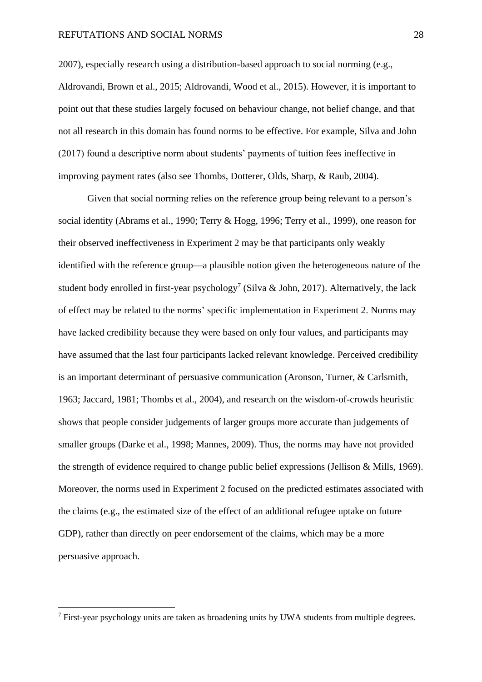2007), especially research using a distribution-based approach to social norming (e.g., Aldrovandi, Brown et al., 2015; Aldrovandi, Wood et al., 2015). However, it is important to point out that these studies largely focused on behaviour change, not belief change, and that not all research in this domain has found norms to be effective. For example, Silva and John (2017) found a descriptive norm about students' payments of tuition fees ineffective in improving payment rates (also see Thombs, Dotterer, Olds, Sharp, & Raub, 2004).

Given that social norming relies on the reference group being relevant to a person's social identity (Abrams et al., 1990; Terry & Hogg, 1996; Terry et al., 1999), one reason for their observed ineffectiveness in Experiment 2 may be that participants only weakly identified with the reference group—a plausible notion given the heterogeneous nature of the student body enrolled in first-year psychology<sup>7</sup> (Silva & John, 2017). Alternatively, the lack of effect may be related to the norms' specific implementation in Experiment 2. Norms may have lacked credibility because they were based on only four values, and participants may have assumed that the last four participants lacked relevant knowledge. Perceived credibility is an important determinant of persuasive communication (Aronson, Turner, & Carlsmith, 1963; Jaccard, 1981; Thombs et al., 2004), and research on the wisdom-of-crowds heuristic shows that people consider judgements of larger groups more accurate than judgements of smaller groups (Darke et al., 1998; Mannes, 2009). Thus, the norms may have not provided the strength of evidence required to change public belief expressions (Jellison & Mills, 1969). Moreover, the norms used in Experiment 2 focused on the predicted estimates associated with the claims (e.g., the estimated size of the effect of an additional refugee uptake on future GDP), rather than directly on peer endorsement of the claims, which may be a more persuasive approach.

 $<sup>7</sup>$  First-year psychology units are taken as broadening units by UWA students from multiple degrees.</sup>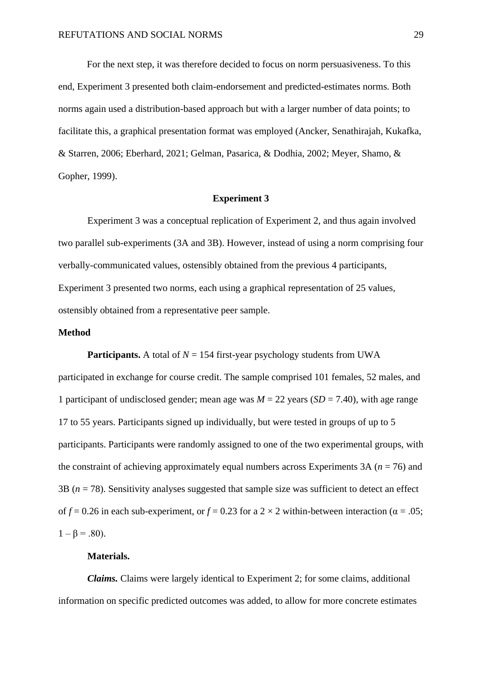For the next step, it was therefore decided to focus on norm persuasiveness. To this end, Experiment 3 presented both claim-endorsement and predicted-estimates norms. Both norms again used a distribution-based approach but with a larger number of data points; to facilitate this, a graphical presentation format was employed (Ancker, Senathirajah, Kukafka, & Starren, 2006; Eberhard, 2021; Gelman, Pasarica, & Dodhia, 2002; Meyer, Shamo, & Gopher, 1999).

#### **Experiment 3**

Experiment 3 was a conceptual replication of Experiment 2, and thus again involved two parallel sub-experiments (3A and 3B). However, instead of using a norm comprising four verbally-communicated values, ostensibly obtained from the previous 4 participants, Experiment 3 presented two norms, each using a graphical representation of 25 values, ostensibly obtained from a representative peer sample.

## **Method**

**Participants.** A total of  $N = 154$  first-year psychology students from UWA participated in exchange for course credit. The sample comprised 101 females, 52 males, and 1 participant of undisclosed gender; mean age was *M* = 22 years (*SD* = 7.40), with age range 17 to 55 years. Participants signed up individually, but were tested in groups of up to 5 participants. Participants were randomly assigned to one of the two experimental groups, with the constraint of achieving approximately equal numbers across Experiments 3A ( $n = 76$ ) and 3B (*n* = 78). Sensitivity analyses suggested that sample size was sufficient to detect an effect of  $f = 0.26$  in each sub-experiment, or  $f = 0.23$  for a 2  $\times$  2 within-between interaction ( $\alpha = .05$ ;  $1 - \beta = .80$ ).

## **Materials.**

*Claims.* Claims were largely identical to Experiment 2; for some claims, additional information on specific predicted outcomes was added, to allow for more concrete estimates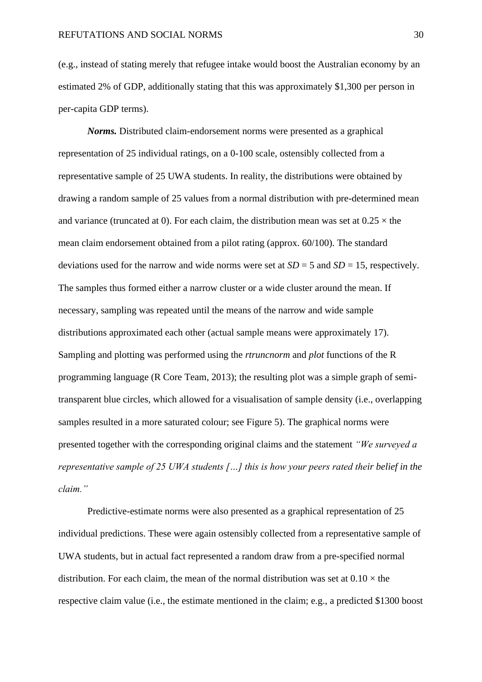(e.g., instead of stating merely that refugee intake would boost the Australian economy by an estimated 2% of GDP, additionally stating that this was approximately \$1,300 per person in per-capita GDP terms).

*Norms.* Distributed claim-endorsement norms were presented as a graphical representation of 25 individual ratings, on a 0-100 scale, ostensibly collected from a representative sample of 25 UWA students. In reality, the distributions were obtained by drawing a random sample of 25 values from a normal distribution with pre-determined mean and variance (truncated at 0). For each claim, the distribution mean was set at  $0.25 \times$  the mean claim endorsement obtained from a pilot rating (approx. 60/100). The standard deviations used for the narrow and wide norms were set at  $SD = 5$  and  $SD = 15$ , respectively. The samples thus formed either a narrow cluster or a wide cluster around the mean. If necessary, sampling was repeated until the means of the narrow and wide sample distributions approximated each other (actual sample means were approximately 17). Sampling and plotting was performed using the *rtruncnorm* and *plot* functions of the R programming language (R Core Team, 2013); the resulting plot was a simple graph of semitransparent blue circles, which allowed for a visualisation of sample density (i.e., overlapping samples resulted in a more saturated colour; see Figure 5). The graphical norms were presented together with the corresponding original claims and the statement *"We surveyed a representative sample of 25 UWA students […] this is how your peers rated their belief in the claim."*

Predictive-estimate norms were also presented as a graphical representation of 25 individual predictions. These were again ostensibly collected from a representative sample of UWA students, but in actual fact represented a random draw from a pre-specified normal distribution. For each claim, the mean of the normal distribution was set at  $0.10 \times$  the respective claim value (i.e., the estimate mentioned in the claim; e.g., a predicted \$1300 boost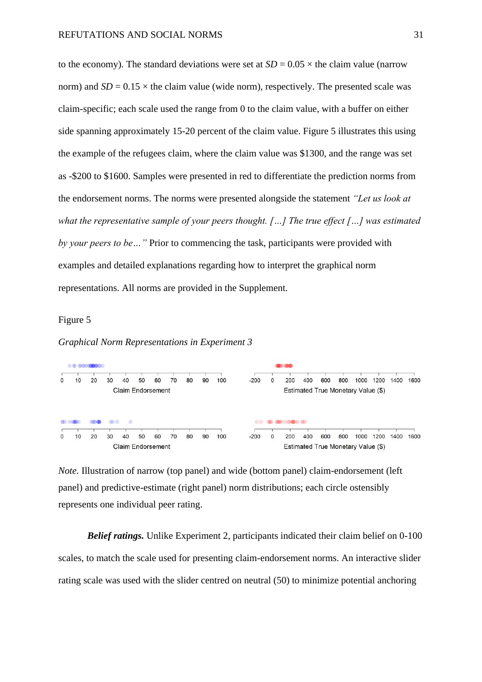to the economy). The standard deviations were set at  $SD = 0.05 \times$  the claim value (narrow norm) and  $SD = 0.15 \times$  the claim value (wide norm), respectively. The presented scale was claim-specific; each scale used the range from 0 to the claim value, with a buffer on either side spanning approximately 15-20 percent of the claim value. Figure 5 illustrates this using the example of the refugees claim, where the claim value was \$1300, and the range was set as -\$200 to \$1600. Samples were presented in red to differentiate the prediction norms from the endorsement norms. The norms were presented alongside the statement *"Let us look at what the representative sample of your peers thought. […] The true effect […] was estimated by your peers to be…"* Prior to commencing the task, participants were provided with examples and detailed explanations regarding how to interpret the graphical norm representations. All norms are provided in the Supplement.

## Figure 5

*Graphical Norm Representations in Experiment 3*



*Note.* Illustration of narrow (top panel) and wide (bottom panel) claim-endorsement (left panel) and predictive-estimate (right panel) norm distributions; each circle ostensibly represents one individual peer rating.

*Belief ratings.* Unlike Experiment 2, participants indicated their claim belief on 0-100 scales, to match the scale used for presenting claim-endorsement norms. An interactive slider rating scale was used with the slider centred on neutral (50) to minimize potential anchoring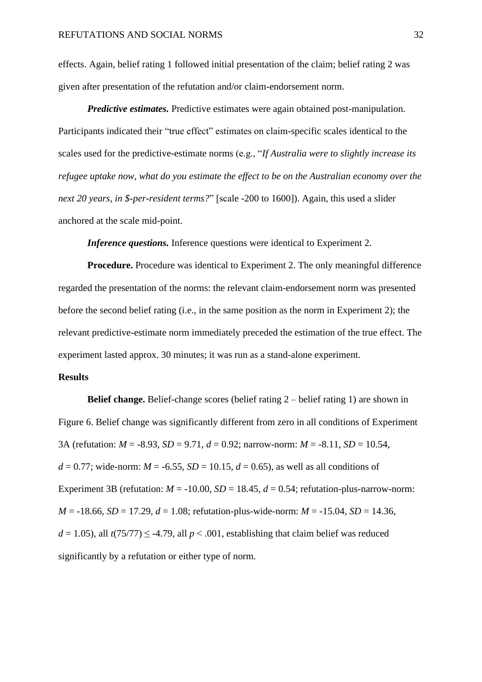effects. Again, belief rating 1 followed initial presentation of the claim; belief rating 2 was given after presentation of the refutation and/or claim-endorsement norm.

*Predictive estimates.* Predictive estimates were again obtained post-manipulation. Participants indicated their "true effect" estimates on claim-specific scales identical to the scales used for the predictive-estimate norms (e.g., "*If Australia were to slightly increase its refugee uptake now, what do you estimate the effect to be on the Australian economy over the next 20 years, in \$-per-resident terms?*" [scale -200 to 1600]). Again, this used a slider anchored at the scale mid-point.

*Inference questions.* Inference questions were identical to Experiment 2.

**Procedure.** Procedure was identical to Experiment 2. The only meaningful difference regarded the presentation of the norms: the relevant claim-endorsement norm was presented before the second belief rating (i.e., in the same position as the norm in Experiment 2); the relevant predictive-estimate norm immediately preceded the estimation of the true effect. The experiment lasted approx. 30 minutes; it was run as a stand-alone experiment.

## **Results**

**Belief change.** Belief-change scores (belief rating 2 – belief rating 1) are shown in Figure 6. Belief change was significantly different from zero in all conditions of Experiment 3A (refutation: *M* = -8.93, *SD* = 9.71, *d* = 0.92; narrow-norm: *M* = -8.11, *SD* = 10.54,  $d = 0.77$ ; wide-norm:  $M = -6.55$ ,  $SD = 10.15$ ,  $d = 0.65$ ), as well as all conditions of Experiment 3B (refutation:  $M = -10.00$ ,  $SD = 18.45$ ,  $d = 0.54$ ; refutation-plus-narrow-norm:  $M = -18.66$ ,  $SD = 17.29$ ,  $d = 1.08$ ; refutation-plus-wide-norm:  $M = -15.04$ ,  $SD = 14.36$ ,  $d = 1.05$ ), all  $t(75/77) \le -4.79$ , all  $p < .001$ , establishing that claim belief was reduced significantly by a refutation or either type of norm.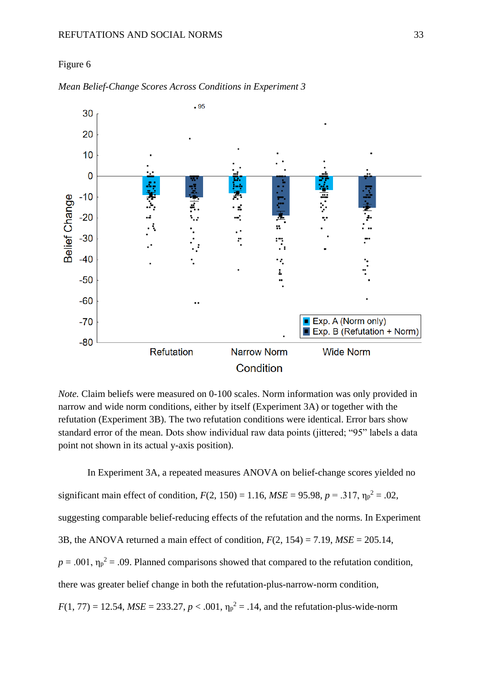### Figure 6



*Mean Belief-Change Scores Across Conditions in Experiment 3*

*Note.* Claim beliefs were measured on 0-100 scales. Norm information was only provided in narrow and wide norm conditions, either by itself (Experiment 3A) or together with the refutation (Experiment 3B). The two refutation conditions were identical. Error bars show standard error of the mean. Dots show individual raw data points (jittered; "95" labels a data point not shown in its actual y-axis position).

In Experiment 3A, a repeated measures ANOVA on belief-change scores yielded no significant main effect of condition,  $F(2, 150) = 1.16$ ,  $MSE = 95.98$ ,  $p = .317$ ,  $\eta_p^2 = .02$ , suggesting comparable belief-reducing effects of the refutation and the norms. In Experiment 3B, the ANOVA returned a main effect of condition, *F*(2, 154) = 7.19, *MSE* = 205.14,  $p = .001$ ,  $\eta_p^2 = .09$ . Planned comparisons showed that compared to the refutation condition, there was greater belief change in both the refutation-plus-narrow-norm condition,  $F(1, 77) = 12.54$ ,  $MSE = 233.27$ ,  $p < .001$ ,  $\eta_p^2 = .14$ , and the refutation-plus-wide-norm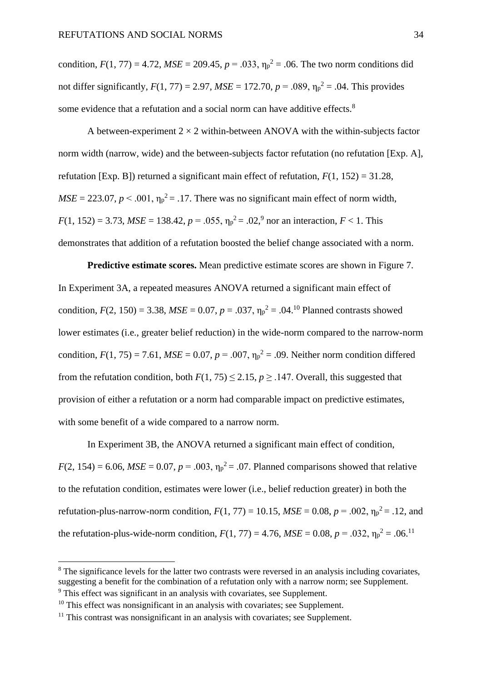condition,  $F(1, 77) = 4.72$ ,  $MSE = 209.45$ ,  $p = .033$ ,  $p_p^2 = .06$ . The two norm conditions did not differ significantly,  $F(1, 77) = 2.97$ ,  $MSE = 172.70$ ,  $p = .089$ ,  $\eta_p^2 = .04$ . This provides some evidence that a refutation and a social norm can have additive effects.<sup>8</sup>

A between-experiment  $2 \times 2$  within-between ANOVA with the within-subjects factor norm width (narrow, wide) and the between-subjects factor refutation (no refutation [Exp. A], refutation [Exp. B]) returned a significant main effect of refutation,  $F(1, 152) = 31.28$ ,  $MSE = 223.07$ ,  $p < .001$ ,  $\eta_p^2 = .17$ . There was no significant main effect of norm width,  $F(1, 152) = 3.73$ ,  $MSE = 138.42$ ,  $p = .055$ ,  $\eta_p^2 = .02$ , nor an interaction,  $F < 1$ . This demonstrates that addition of a refutation boosted the belief change associated with a norm.

**Predictive estimate scores.** Mean predictive estimate scores are shown in Figure 7. In Experiment 3A, a repeated measures ANOVA returned a significant main effect of condition,  $F(2, 150) = 3.38$ ,  $MSE = 0.07$ ,  $p = .037$ ,  $\eta_p^2 = .04$ .<sup>10</sup> Planned contrasts showed lower estimates (i.e., greater belief reduction) in the wide-norm compared to the narrow-norm condition,  $F(1, 75) = 7.61$ ,  $MSE = 0.07$ ,  $p = .007$ ,  $\eta_p^2 = .09$ . Neither norm condition differed from the refutation condition, both  $F(1, 75) \le 2.15$ ,  $p > .147$ . Overall, this suggested that provision of either a refutation or a norm had comparable impact on predictive estimates, with some benefit of a wide compared to a narrow norm.

In Experiment 3B, the ANOVA returned a significant main effect of condition,  $F(2, 154) = 6.06$ ,  $MSE = 0.07$ ,  $p = .003$ ,  $\eta_p^2 = .07$ . Planned comparisons showed that relative to the refutation condition, estimates were lower (i.e., belief reduction greater) in both the refutation-plus-narrow-norm condition,  $F(1, 77) = 10.15$ ,  $MSE = 0.08$ ,  $p = .002$ ,  $\eta_p^2 = .12$ , and the refutation-plus-wide-norm condition,  $F(1, 77) = 4.76$ ,  $MSE = 0.08$ ,  $p = .032$ ,  $\eta_p^2 = .06$ .<sup>11</sup>

<sup>&</sup>lt;sup>8</sup> The significance levels for the latter two contrasts were reversed in an analysis including covariates, suggesting a benefit for the combination of a refutation only with a narrow norm; see Supplement. <sup>9</sup> This effect was significant in an analysis with covariates, see Supplement.

 $10$  This effect was nonsignificant in an analysis with covariates; see Supplement.

 $11$  This contrast was nonsignificant in an analysis with covariates; see Supplement.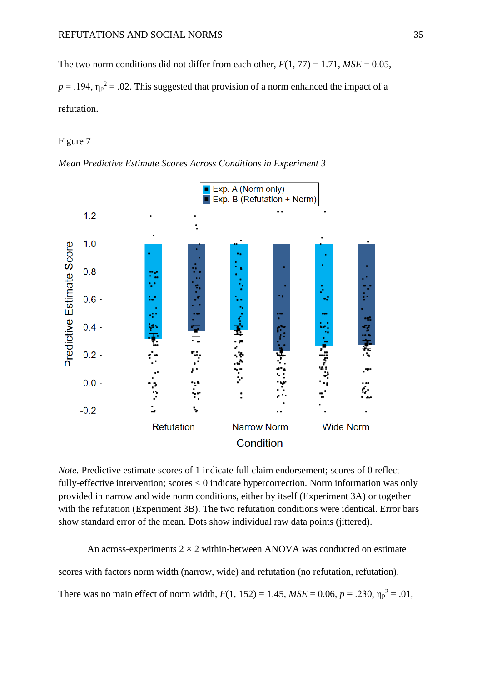The two norm conditions did not differ from each other,  $F(1, 77) = 1.71$ ,  $MSE = 0.05$ ,  $p = .194$ ,  $\eta_p^2 = .02$ . This suggested that provision of a norm enhanced the impact of a refutation.

## Figure 7





*Note.* Predictive estimate scores of 1 indicate full claim endorsement; scores of 0 reflect fully-effective intervention; scores < 0 indicate hypercorrection. Norm information was only provided in narrow and wide norm conditions, either by itself (Experiment 3A) or together with the refutation (Experiment 3B). The two refutation conditions were identical. Error bars show standard error of the mean. Dots show individual raw data points (jittered).

An across-experiments  $2 \times 2$  within-between ANOVA was conducted on estimate

scores with factors norm width (narrow, wide) and refutation (no refutation, refutation).

There was no main effect of norm width,  $F(1, 152) = 1.45$ ,  $MSE = 0.06$ ,  $p = .230$ ,  $\eta_p^2 = .01$ ,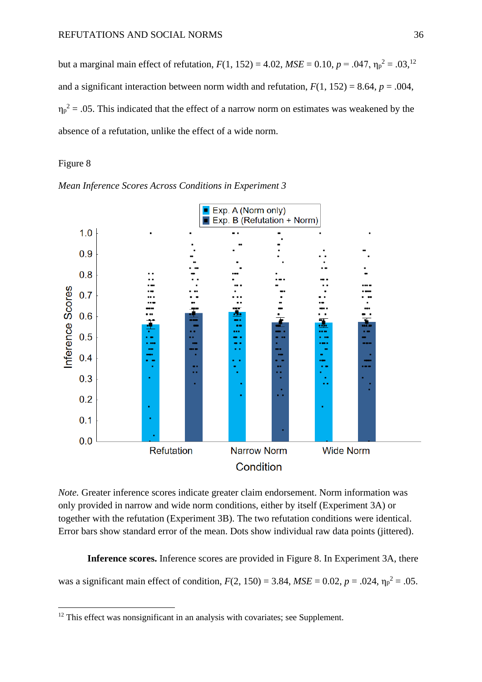but a marginal main effect of refutation,  $F(1, 152) = 4.02$ ,  $MSE = 0.10$ ,  $p = .047$ ,  $\eta_p^2 = .03$ ,  $^{12}$ and a significant interaction between norm width and refutation,  $F(1, 152) = 8.64$ ,  $p = .004$ ,  $\eta_p^2$  = .05. This indicated that the effect of a narrow norm on estimates was weakened by the absence of a refutation, unlike the effect of a wide norm.

## Figure 8





*Note.* Greater inference scores indicate greater claim endorsement. Norm information was only provided in narrow and wide norm conditions, either by itself (Experiment 3A) or together with the refutation (Experiment 3B). The two refutation conditions were identical. Error bars show standard error of the mean. Dots show individual raw data points (jittered).

**Inference scores.** Inference scores are provided in Figure 8. In Experiment 3A, there was a significant main effect of condition,  $F(2, 150) = 3.84$ ,  $MSE = 0.02$ ,  $p = .024$ ,  $\eta_p^2 = .05$ .

 $12$  This effect was nonsignificant in an analysis with covariates; see Supplement.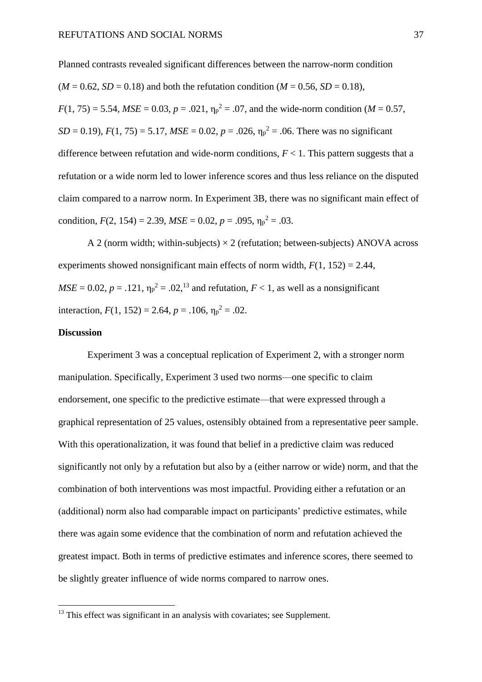Planned contrasts revealed significant differences between the narrow-norm condition  $(M = 0.62, SD = 0.18)$  and both the refutation condition  $(M = 0.56, SD = 0.18)$ ,  $F(1, 75) = 5.54$ ,  $MSE = 0.03$ ,  $p = .021$ ,  $\eta_p^2 = .07$ , and the wide-norm condition (*M* = 0.57,  $SD = 0.19$ ,  $F(1, 75) = 5.17$ ,  $MSE = 0.02$ ,  $p = .026$ ,  $\eta_p^2 = .06$ . There was no significant difference between refutation and wide-norm conditions,  $F < 1$ . This pattern suggests that a refutation or a wide norm led to lower inference scores and thus less reliance on the disputed claim compared to a narrow norm. In Experiment 3B, there was no significant main effect of condition,  $F(2, 154) = 2.39$ ,  $MSE = 0.02$ ,  $p = .095$ ,  $\eta_p^2 = .03$ .

A 2 (norm width; within-subjects)  $\times$  2 (refutation; between-subjects) ANOVA across experiments showed nonsignificant main effects of norm width,  $F(1, 152) = 2.44$ ,  $MSE = 0.02$ ,  $p = .121$ ,  $\eta_p^2 = .02$ ,  $^{13}$  and refutation,  $F < 1$ , as well as a nonsignificant interaction,  $F(1, 152) = 2.64$ ,  $p = .106$ ,  $\eta_p^2 = .02$ .

## **Discussion**

Experiment 3 was a conceptual replication of Experiment 2, with a stronger norm manipulation. Specifically, Experiment 3 used two norms—one specific to claim endorsement, one specific to the predictive estimate—that were expressed through a graphical representation of 25 values, ostensibly obtained from a representative peer sample. With this operationalization, it was found that belief in a predictive claim was reduced significantly not only by a refutation but also by a (either narrow or wide) norm, and that the combination of both interventions was most impactful. Providing either a refutation or an (additional) norm also had comparable impact on participants' predictive estimates, while there was again some evidence that the combination of norm and refutation achieved the greatest impact. Both in terms of predictive estimates and inference scores, there seemed to be slightly greater influence of wide norms compared to narrow ones.

<sup>&</sup>lt;sup>13</sup> This effect was significant in an analysis with covariates; see Supplement.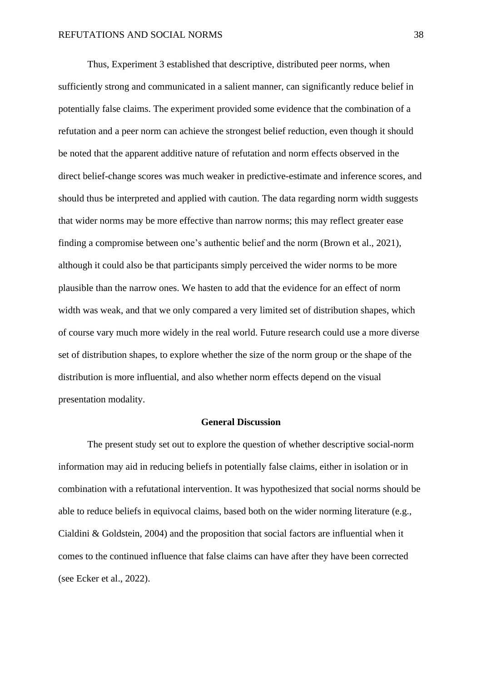Thus, Experiment 3 established that descriptive, distributed peer norms, when sufficiently strong and communicated in a salient manner, can significantly reduce belief in potentially false claims. The experiment provided some evidence that the combination of a refutation and a peer norm can achieve the strongest belief reduction, even though it should be noted that the apparent additive nature of refutation and norm effects observed in the direct belief-change scores was much weaker in predictive-estimate and inference scores, and should thus be interpreted and applied with caution. The data regarding norm width suggests that wider norms may be more effective than narrow norms; this may reflect greater ease finding a compromise between one's authentic belief and the norm (Brown et al., 2021), although it could also be that participants simply perceived the wider norms to be more plausible than the narrow ones. We hasten to add that the evidence for an effect of norm width was weak, and that we only compared a very limited set of distribution shapes, which of course vary much more widely in the real world. Future research could use a more diverse set of distribution shapes, to explore whether the size of the norm group or the shape of the distribution is more influential, and also whether norm effects depend on the visual presentation modality.

## **General Discussion**

The present study set out to explore the question of whether descriptive social-norm information may aid in reducing beliefs in potentially false claims, either in isolation or in combination with a refutational intervention. It was hypothesized that social norms should be able to reduce beliefs in equivocal claims, based both on the wider norming literature (e.g., Cialdini & Goldstein, 2004) and the proposition that social factors are influential when it comes to the continued influence that false claims can have after they have been corrected (see Ecker et al., 2022).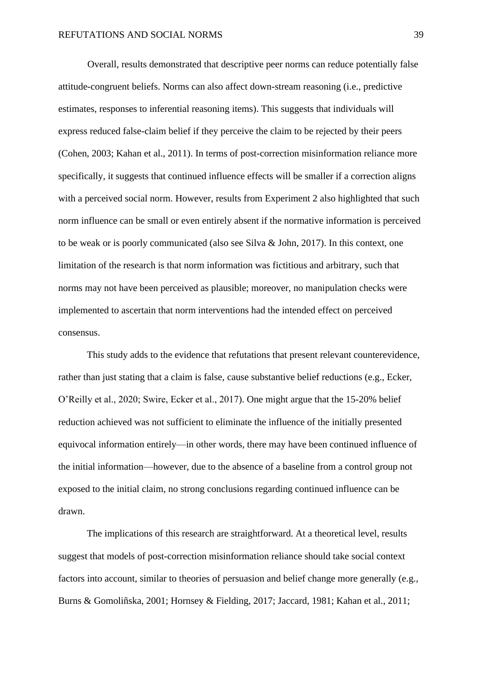Overall, results demonstrated that descriptive peer norms can reduce potentially false attitude-congruent beliefs. Norms can also affect down-stream reasoning (i.e., predictive estimates, responses to inferential reasoning items). This suggests that individuals will express reduced false-claim belief if they perceive the claim to be rejected by their peers (Cohen, 2003; Kahan et al., 2011). In terms of post-correction misinformation reliance more specifically, it suggests that continued influence effects will be smaller if a correction aligns with a perceived social norm. However, results from Experiment 2 also highlighted that such norm influence can be small or even entirely absent if the normative information is perceived to be weak or is poorly communicated (also see Silva & John, 2017). In this context, one limitation of the research is that norm information was fictitious and arbitrary, such that norms may not have been perceived as plausible; moreover, no manipulation checks were implemented to ascertain that norm interventions had the intended effect on perceived consensus.

This study adds to the evidence that refutations that present relevant counterevidence, rather than just stating that a claim is false, cause substantive belief reductions (e.g., Ecker, O'Reilly et al., 2020; Swire, Ecker et al., 2017). One might argue that the 15-20% belief reduction achieved was not sufficient to eliminate the influence of the initially presented equivocal information entirely—in other words, there may have been continued influence of the initial information—however, due to the absence of a baseline from a control group not exposed to the initial claim, no strong conclusions regarding continued influence can be drawn.

The implications of this research are straightforward. At a theoretical level, results suggest that models of post-correction misinformation reliance should take social context factors into account, similar to theories of persuasion and belief change more generally (e.g., Burns & Gomoliñska, 2001; Hornsey & Fielding, 2017; Jaccard, 1981; Kahan et al., 2011;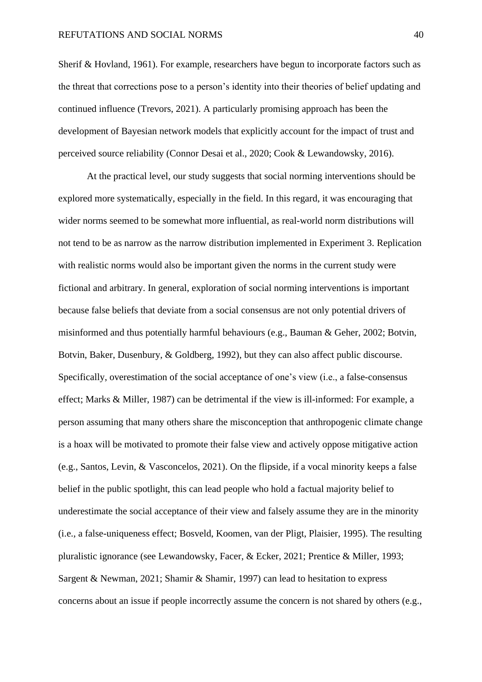Sherif & Hovland, 1961). For example, researchers have begun to incorporate factors such as the threat that corrections pose to a person's identity into their theories of belief updating and continued influence (Trevors, 2021). A particularly promising approach has been the development of Bayesian network models that explicitly account for the impact of trust and perceived source reliability (Connor Desai et al., 2020; Cook & Lewandowsky, 2016).

At the practical level, our study suggests that social norming interventions should be explored more systematically, especially in the field. In this regard, it was encouraging that wider norms seemed to be somewhat more influential, as real-world norm distributions will not tend to be as narrow as the narrow distribution implemented in Experiment 3. Replication with realistic norms would also be important given the norms in the current study were fictional and arbitrary. In general, exploration of social norming interventions is important because false beliefs that deviate from a social consensus are not only potential drivers of misinformed and thus potentially harmful behaviours (e.g., Bauman & Geher, 2002; Botvin, Botvin, Baker, Dusenbury, & Goldberg, 1992), but they can also affect public discourse. Specifically, overestimation of the social acceptance of one's view (i.e., a false-consensus effect; Marks & Miller, 1987) can be detrimental if the view is ill-informed: For example, a person assuming that many others share the misconception that anthropogenic climate change is a hoax will be motivated to promote their false view and actively oppose mitigative action (e.g., Santos, Levin, & Vasconcelos, 2021). On the flipside, if a vocal minority keeps a false belief in the public spotlight, this can lead people who hold a factual majority belief to underestimate the social acceptance of their view and falsely assume they are in the minority (i.e., a false-uniqueness effect; Bosveld, Koomen, van der Pligt, Plaisier, 1995). The resulting pluralistic ignorance (see Lewandowsky, Facer, & Ecker, 2021; Prentice & Miller, 1993; Sargent & Newman, 2021; Shamir & Shamir, 1997) can lead to hesitation to express concerns about an issue if people incorrectly assume the concern is not shared by others (e.g.,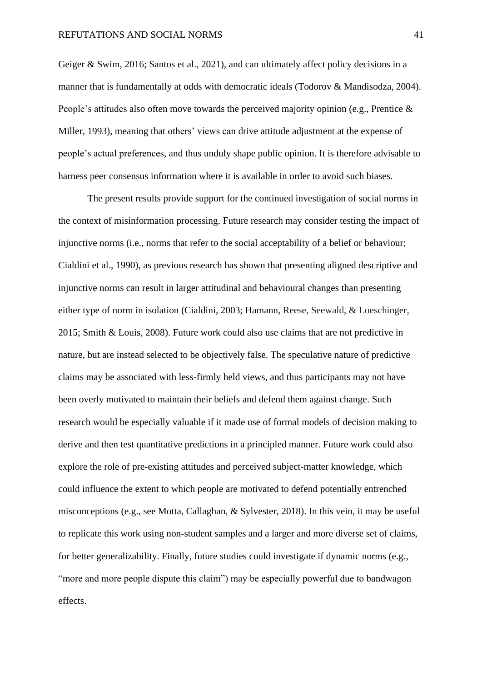Geiger & Swim, 2016; Santos et al., 2021), and can ultimately affect policy decisions in a manner that is fundamentally at odds with democratic ideals (Todorov & Mandisodza, 2004). People's attitudes also often move towards the perceived majority opinion (e.g., Prentice & Miller, 1993), meaning that others' views can drive attitude adjustment at the expense of people's actual preferences, and thus unduly shape public opinion. It is therefore advisable to harness peer consensus information where it is available in order to avoid such biases.

The present results provide support for the continued investigation of social norms in the context of misinformation processing. Future research may consider testing the impact of injunctive norms (i.e., norms that refer to the social acceptability of a belief or behaviour; Cialdini et al., 1990), as previous research has shown that presenting aligned descriptive and injunctive norms can result in larger attitudinal and behavioural changes than presenting either type of norm in isolation (Cialdini, 2003; Hamann, Reese, Seewald, & Loeschinger, 2015; Smith & Louis, 2008). Future work could also use claims that are not predictive in nature, but are instead selected to be objectively false. The speculative nature of predictive claims may be associated with less-firmly held views, and thus participants may not have been overly motivated to maintain their beliefs and defend them against change. Such research would be especially valuable if it made use of formal models of decision making to derive and then test quantitative predictions in a principled manner. Future work could also explore the role of pre-existing attitudes and perceived subject-matter knowledge, which could influence the extent to which people are motivated to defend potentially entrenched misconceptions (e.g., see Motta, Callaghan, & Sylvester, 2018). In this vein, it may be useful to replicate this work using non-student samples and a larger and more diverse set of claims, for better generalizability. Finally, future studies could investigate if dynamic norms (e.g., "more and more people dispute this claim") may be especially powerful due to bandwagon effects.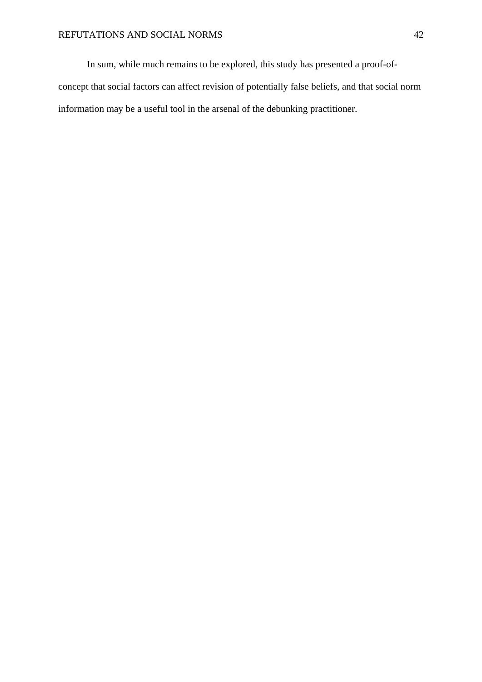In sum, while much remains to be explored, this study has presented a proof-ofconcept that social factors can affect revision of potentially false beliefs, and that social norm information may be a useful tool in the arsenal of the debunking practitioner.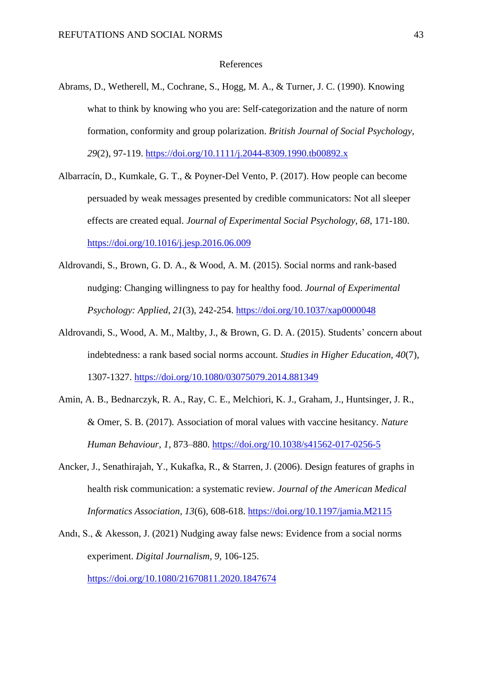#### References

- Abrams, D., Wetherell, M., Cochrane, S., Hogg, M. A., & Turner, J. C. (1990). Knowing what to think by knowing who you are: Self-categorization and the nature of norm formation, conformity and group polarization. *British Journal of Social Psychology, 29*(2), 97-119.<https://doi.org/10.1111/j.2044-8309.1990.tb00892.x>
- Albarracín, D., Kumkale, G. T., & Poyner-Del Vento, P. (2017). How people can become persuaded by weak messages presented by credible communicators: Not all sleeper effects are created equal. *Journal of Experimental Social Psychology, 68*, 171-180. <https://doi.org/10.1016/j.jesp.2016.06.009>
- Aldrovandi, S., Brown, G. D. A., & Wood, A. M. (2015). Social norms and rank-based nudging: Changing willingness to pay for healthy food. *Journal of Experimental Psychology: Applied*, *21*(3), 242-254.<https://doi.org/10.1037/xap0000048>
- Aldrovandi, S., Wood, A. M., Maltby, J., & Brown, G. D. A. (2015). Students' concern about indebtedness: a rank based social norms account. *Studies in Higher Education, 40*(7), 1307-1327. <https://doi.org/10.1080/03075079.2014.881349>
- Amin, A. B., Bednarczyk, R. A., Ray, C. E., Melchiori, K. J., Graham, J., Huntsinger, J. R., & Omer, S. B. (2017)*.* Association of moral values with vaccine hesitancy. *Nature Human Behaviour, 1*, 873–880.<https://doi.org/10.1038/s41562-017-0256-5>
- Ancker, J., Senathirajah, Y., Kukafka, R., & Starren, J. (2006). Design features of graphs in health risk communication: a systematic review. *Journal of the American Medical Informatics Association, 13*(6), 608-618.<https://doi.org/10.1197/jamia.M2115>
- Andı, S., & Akesson, J. (2021) Nudging away false news: Evidence from a social norms experiment. *Digital Journalism, 9*, 106-125. <https://doi.org/10.1080/21670811.2020.1847674>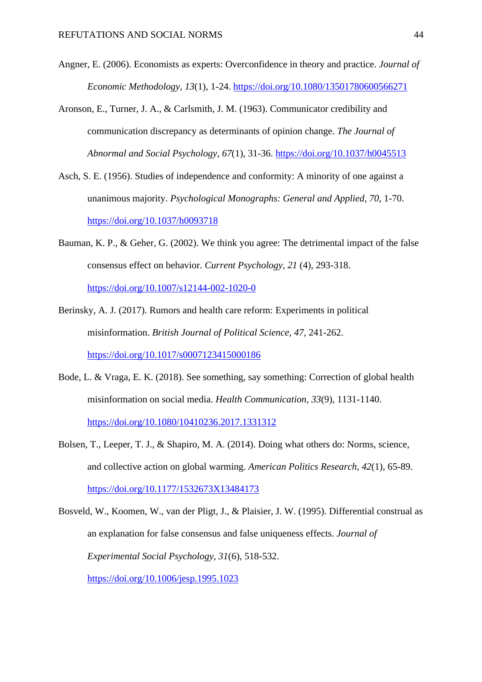- Angner, E. (2006). Economists as experts: Overconfidence in theory and practice. *Journal of Economic Methodology, 13*(1), 1-24. <https://doi.org/10.1080/13501780600566271>
- Aronson, E., Turner, J. A., & Carlsmith, J. M. (1963). Communicator credibility and communication discrepancy as determinants of opinion change. *The Journal of Abnormal and Social Psychology*, *67*(1), 31-36. <https://doi.org/10.1037/h0045513>
- Asch, S. E. (1956). Studies of independence and conformity: A minority of one against a unanimous majority. *Psychological Monographs: General and Applied, 70*, 1-70. <https://doi.org/10.1037/h0093718>
- Bauman, K. P., & Geher, G. (2002). We think you agree: The detrimental impact of the false consensus effect on behavior. *Current Psychology, 21* (4), 293-318. <https://doi.org/10.1007/s12144-002-1020-0>
- Berinsky, A. J. (2017). Rumors and health care reform: Experiments in political misinformation. *British Journal of Political Science, 47*, 241-262. <https://doi.org/10.1017/s0007123415000186>
- Bode, L. & Vraga, E. K. (2018). See something, say something: Correction of global health misinformation on social media. *Health Communication, 33*(9), 1131-1140. <https://doi.org/10.1080/10410236.2017.1331312>
- Bolsen, T., Leeper, T. J., & Shapiro, M. A. (2014). Doing what others do: Norms, science, and collective action on global warming. *American Politics Research*, *42*(1), 65-89. <https://doi.org/10.1177/1532673X13484173>
- Bosveld, W., Koomen, W., van der Pligt, J., & Plaisier, J. W. (1995). Differential construal as an explanation for false consensus and false uniqueness effects. *Journal of Experimental Social Psychology, 31*(6), 518-532. <https://doi.org/10.1006/jesp.1995.1023>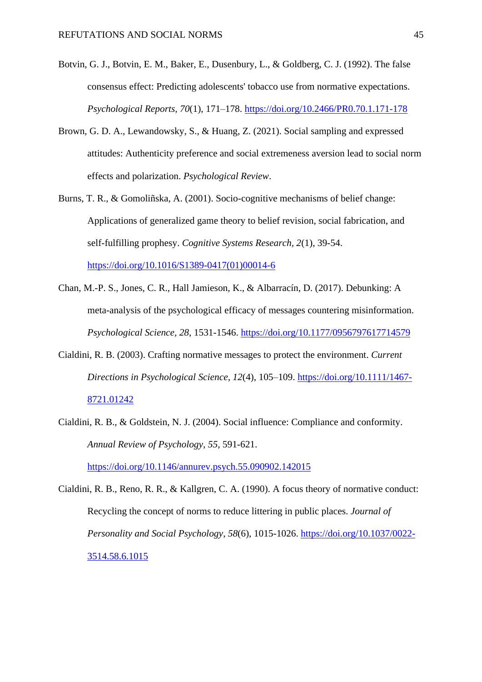- Botvin, G. J., Botvin, E. M., Baker, E., Dusenbury, L., & Goldberg, C. J. (1992). The false consensus effect: Predicting adolescents' tobacco use from normative expectations. *Psychological Reports, 70*(1), 171–178. [https://doi.org/10.2466/PR0.70.1.171-178](https://psycnet.apa.org/doi/10.2466/PR0.70.1.171-178)
- Brown, G. D. A., Lewandowsky, S., & Huang, Z. (2021). Social sampling and expressed attitudes: Authenticity preference and social extremeness aversion lead to social norm effects and polarization. *Psychological Review*.
- Burns, T. R., & Gomoliñska, A. (2001). Socio-cognitive mechanisms of belief change: Applications of generalized game theory to belief revision, social fabrication, and self-fulfilling prophesy. *Cognitive Systems Research, 2*(1), 39-54. [https://doi.org/10.1016/S1389-0417\(01\)00014-6](https://doi.org/10.1016/S1389-0417(01)00014-6)
- Chan, M.-P. S., Jones, C. R., Hall Jamieson, K., & Albarracín, D. (2017). Debunking: A meta-analysis of the psychological efficacy of messages countering misinformation. *Psychological Science, 28*, 1531-1546.<https://doi.org/10.1177/0956797617714579>
- Cialdini, R. B. (2003). Crafting normative messages to protect the environment. *Current Directions in Psychological Science, 12*(4), 105–109. [https://doi.org/10.1111/1467-](https://doi.org/10.1111/1467-8721.01242) [8721.01242](https://doi.org/10.1111/1467-8721.01242)
- Cialdini, R. B., & Goldstein, N. J. (2004). Social influence: Compliance and conformity. *Annual Review of Psychology*, *55*, 591-621.

<https://doi.org/10.1146/annurev.psych.55.090902.142015>

Cialdini, R. B., Reno, R. R., & Kallgren, C. A. (1990). A focus theory of normative conduct: Recycling the concept of norms to reduce littering in public places. *Journal of Personality and Social Psychology*, *58*(6), 1015-1026. [https://doi.org/10.1037/0022-](https://doi.org/10.1037/0022-3514.58.6.1015) [3514.58.6.1015](https://doi.org/10.1037/0022-3514.58.6.1015)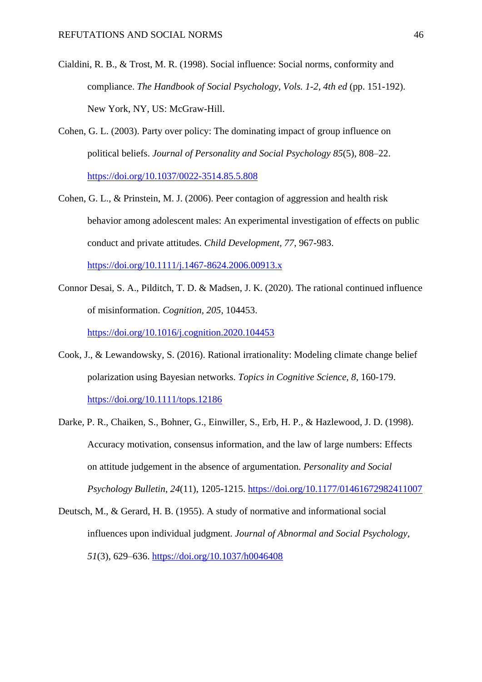- Cialdini, R. B., & Trost, M. R. (1998). Social influence: Social norms, conformity and compliance. *The Handbook of Social Psychology, Vols. 1-2, 4th ed* (pp. 151-192). New York, NY, US: McGraw-Hill.
- Cohen, G. L. (2003). Party over policy: The dominating impact of group influence on political beliefs. *Journal of Personality and Social Psychology 85*(5), 808–22. <https://doi.org/10.1037/0022-3514.85.5.808>
- Cohen, G. L., & Prinstein, M. J. (2006). Peer contagion of aggression and health risk behavior among adolescent males: An experimental investigation of effects on public conduct and private attitudes. *Child Development, 77*, 967-983. <https://doi.org/10.1111/j.1467-8624.2006.00913.x>
- Connor Desai, S. A., Pilditch, T. D. & Madsen, J. K. (2020). The rational continued influence of misinformation. *Cognition, 205*, 104453.

<https://doi.org/10.1016/j.cognition.2020.104453>

- Cook, J., & Lewandowsky, S. (2016). Rational irrationality: Modeling climate change belief polarization using Bayesian networks. *Topics in Cognitive Science, 8*, 160-179. <https://doi.org/10.1111/tops.12186>
- Darke, P. R., Chaiken, S., Bohner, G., Einwiller, S., Erb, H. P., & Hazlewood, J. D. (1998). Accuracy motivation, consensus information, and the law of large numbers: Effects on attitude judgement in the absence of argumentation. *Personality and Social Psychology Bulletin*, *24*(11), 1205-1215.<https://doi.org/10.1177/01461672982411007>
- Deutsch, M., & Gerard, H. B. (1955). A study of normative and informational social influences upon individual judgment. *Journal of Abnormal and Social Psychology, 51*(3), 629–636. [https://doi.org/10.1037/h0046408](https://psycnet.apa.org/doi/10.1037/h0046408)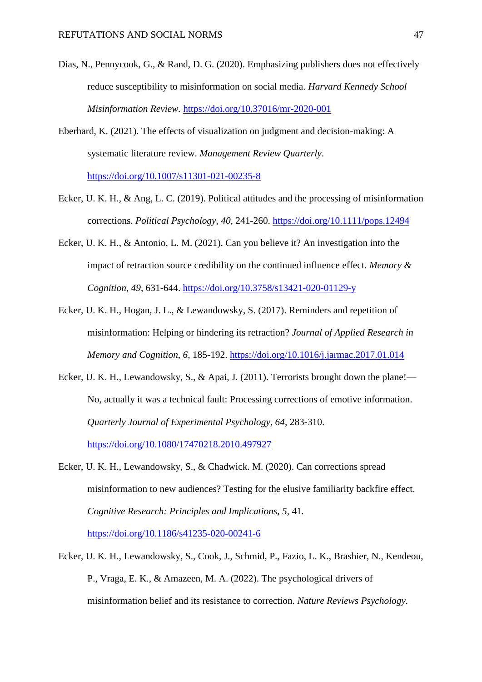- Dias, N., Pennycook, G., & Rand, D. G. (2020). Emphasizing publishers does not effectively reduce susceptibility to misinformation on social media. *Harvard Kennedy School Misinformation Review.* <https://doi.org/10.37016/mr-2020-001>
- Eberhard, K. (2021). The effects of visualization on judgment and decision-making: A systematic literature review. *Management Review Quarterly*. <https://doi.org/10.1007/s11301-021-00235-8>
- Ecker, U. K. H., & Ang, L. C. (2019). Political attitudes and the processing of misinformation corrections. *Political Psychology, 40*, 241-260.<https://doi.org/10.1111/pops.12494>
- Ecker, U. K. H., & Antonio, L. M. (2021). Can you believe it? An investigation into the impact of retraction source credibility on the continued influence effect. *Memory & Cognition, 49*, 631-644.<https://doi.org/10.3758/s13421-020-01129-y>
- Ecker, U. K. H., Hogan, J. L., & Lewandowsky, S. (2017). Reminders and repetition of misinformation: Helping or hindering its retraction? *Journal of Applied Research in Memory and Cognition, 6*, 185-192.<https://doi.org/10.1016/j.jarmac.2017.01.014>
- Ecker, U. K. H., Lewandowsky, S., & Apai, J. (2011). Terrorists brought down the plane!— No, actually it was a technical fault: Processing corrections of emotive information. *Quarterly Journal of Experimental Psychology, 64*, 283-310. <https://doi.org/10.1080/17470218.2010.497927>
- Ecker, U. K. H., Lewandowsky, S., & Chadwick. M. (2020). Can corrections spread misinformation to new audiences? Testing for the elusive familiarity backfire effect. *Cognitive Research: Principles and Implications, 5*, 41*.* <https://doi.org/10.1186/s41235-020-00241-6>
- Ecker, U. K. H., Lewandowsky, S., Cook, J., Schmid, P., Fazio, L. K., Brashier, N., Kendeou, P., Vraga, E. K., & Amazeen, M. A. (2022). The psychological drivers of misinformation belief and its resistance to correction. *Nature Reviews Psychology.*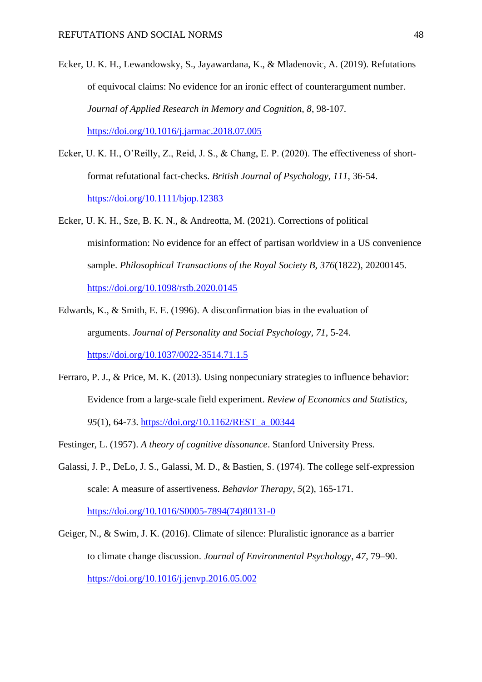- Ecker, U. K. H., Lewandowsky, S., Jayawardana, K., & Mladenovic, A. (2019). Refutations of equivocal claims: No evidence for an ironic effect of counterargument number. *Journal of Applied Research in Memory and Cognition, 8*, 98-107*.*  <https://doi.org/10.1016/j.jarmac.2018.07.005>
- Ecker, U. K. H., O'Reilly, Z., Reid, J. S., & Chang, E. P. (2020). The effectiveness of shortformat refutational fact-checks. *British Journal of Psychology, 111*, 36-54. <https://doi.org/10.1111/bjop.12383>
- Ecker, U. K. H., Sze, B. K. N., & Andreotta, M. (2021). Corrections of political misinformation: No evidence for an effect of partisan worldview in a US convenience sample. *Philosophical Transactions of the Royal Society B*, *376*(1822), 20200145. <https://doi.org/10.1098/rstb.2020.0145>
- Edwards, K., & Smith, E. E. (1996). A disconfirmation bias in the evaluation of arguments. *Journal of Personality and Social Psychology*, *71*, 5-24. <https://doi.org/10.1037/0022-3514.71.1.5>
- Ferraro, P. J., & Price, M. K. (2013). Using nonpecuniary strategies to influence behavior: Evidence from a large-scale field experiment. *Review of Economics and Statistics*, *95*(1), 64-73. [https://doi.org/10.1162/REST\\_a\\_00344](https://doi.org/10.1162/REST_a_00344)
- Festinger, L. (1957). *A theory of cognitive dissonance*. Stanford University Press.
- Galassi, J. P., DeLo, J. S., Galassi, M. D., & Bastien, S. (1974). The college self-expression scale: A measure of assertiveness. *Behavior Therapy*, *5*(2), 165-171. [https://doi.org/10.1016/S0005-7894\(74\)80131-0](https://doi.org/10.1016/S0005-7894(74)80131-0)

Geiger, N., & Swim, J. K. (2016). Climate of silence: Pluralistic ignorance as a barrier to climate change discussion. *Journal of Environmental Psychology*, *47*, 79–90. <https://doi.org/10.1016/j.jenvp.2016.05.002>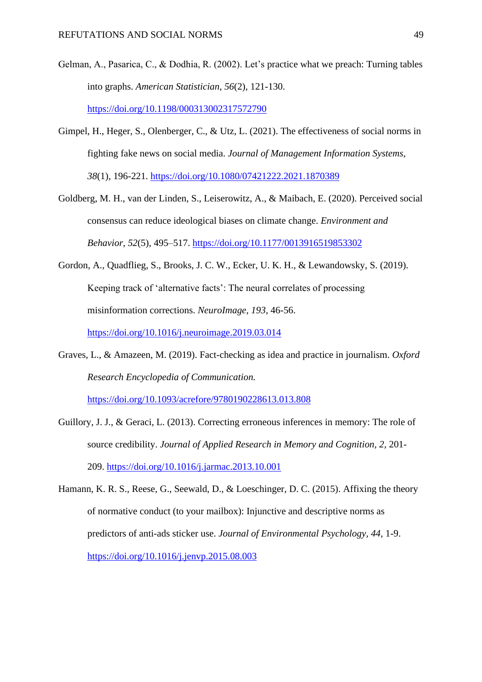- Gelman, A., Pasarica, C., & Dodhia, R. (2002). Let's practice what we preach: Turning tables into graphs. *American Statistician*, *56*(2), 121-130. <https://doi.org/10.1198/000313002317572790>
- Gimpel, H., Heger, S., Olenberger, C., & Utz, L. (2021). The effectiveness of social norms in fighting fake news on social media. *Journal of Management Information Systems, 38*(1), 196-221.<https://doi.org/10.1080/07421222.2021.1870389>
- Goldberg, M. H., van der Linden, S., Leiserowitz, A., & Maibach, E. (2020). Perceived social consensus can reduce ideological biases on climate change. *Environment and Behavior*, *52*(5), 495–517.<https://doi.org/10.1177/0013916519853302>
- Gordon, A., Quadflieg, S., Brooks, J. C. W., Ecker, U. K. H., & Lewandowsky, S. (2019). Keeping track of 'alternative facts': The neural correlates of processing misinformation corrections. *NeuroImage, 193*, 46-56. <https://doi.org/10.1016/j.neuroimage.2019.03.014>
- Graves, L., & Amazeen, M. (2019). Fact-checking as idea and practice in journalism. *Oxford Research Encyclopedia of Communication.*

<https://doi.org/10.1093/acrefore/9780190228613.013.808>

- Guillory, J. J., & Geraci, L. (2013). Correcting erroneous inferences in memory: The role of source credibility. *Journal of Applied Research in Memory and Cognition, 2*, 201- 209.<https://doi.org/10.1016/j.jarmac.2013.10.001>
- Hamann, K. R. S., Reese, G., Seewald, D., & Loeschinger, D. C. (2015). Affixing the theory of normative conduct (to your mailbox): Injunctive and descriptive norms as predictors of anti-ads sticker use. *Journal of Environmental Psychology, 44,* 1-9. [https://doi.org/10.1016/j.jenvp.2015.08.003](https://psycnet.apa.org/doi/10.1016/j.jenvp.2015.08.003)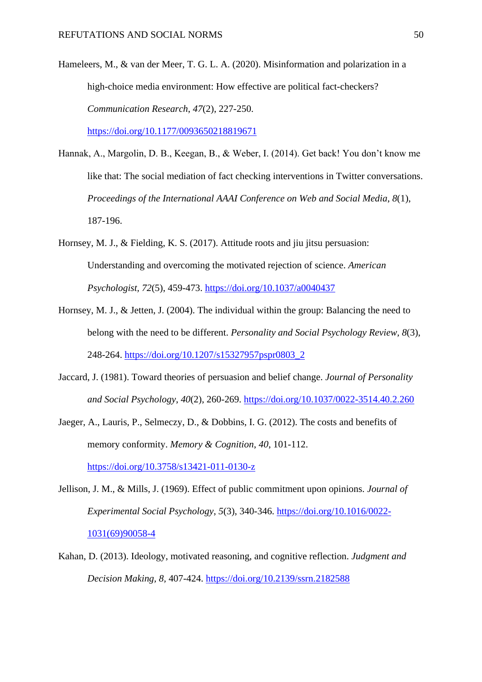- Hameleers, M., & van der Meer, T. G. L. A. (2020). Misinformation and polarization in a high-choice media environment: How effective are political fact-checkers? *Communication Research*, *47*(2), 227-250. <https://doi.org/10.1177/0093650218819671>
- Hannak, A., Margolin, D. B., Keegan, B., & Weber, I. (2014). Get back! You don't know me like that: The social mediation of fact checking interventions in Twitter conversations. *Proceedings of the International AAAI Conference on Web and Social Media*, *8*(1), 187-196.
- Hornsey, M. J., & Fielding, K. S. (2017). Attitude roots and jiu jitsu persuasion: Understanding and overcoming the motivated rejection of science. *American Psychologist, 72*(5), 459-473. [https://doi.org/10.1037/a0040437](https://psycnet.apa.org/doi/10.1037/a0040437)
- Hornsey, M. J., & Jetten, J. (2004). The individual within the group: Balancing the need to belong with the need to be different. *Personality and Social Psychology Review, 8*(3), 248-264. [https://doi.org/10.1207/s15327957pspr0803\\_2](https://doi.org/10.1207/s15327957pspr0803_2)
- Jaccard, J. (1981). Toward theories of persuasion and belief change. *Journal of Personality and Social Psychology*, *40*(2), 260-269.<https://doi.org/10.1037/0022-3514.40.2.260>
- Jaeger, A., Lauris, P., Selmeczy, D., & Dobbins, I. G. (2012). The costs and benefits of memory conformity. *Memory & Cognition*, *40*, 101-112.

<https://doi.org/10.3758/s13421-011-0130-z>

- Jellison, J. M., & Mills, J. (1969). Effect of public commitment upon opinions. *Journal of Experimental Social Psychology*, *5*(3), 340-346. [https://doi.org/10.1016/0022-](https://doi.org/10.1016/0022-1031(69)90058-4) [1031\(69\)90058-4](https://doi.org/10.1016/0022-1031(69)90058-4)
- Kahan, D. (2013). Ideology, motivated reasoning, and cognitive reflection. *Judgment and Decision Making, 8,* 407-424. <https://doi.org/10.2139/ssrn.2182588>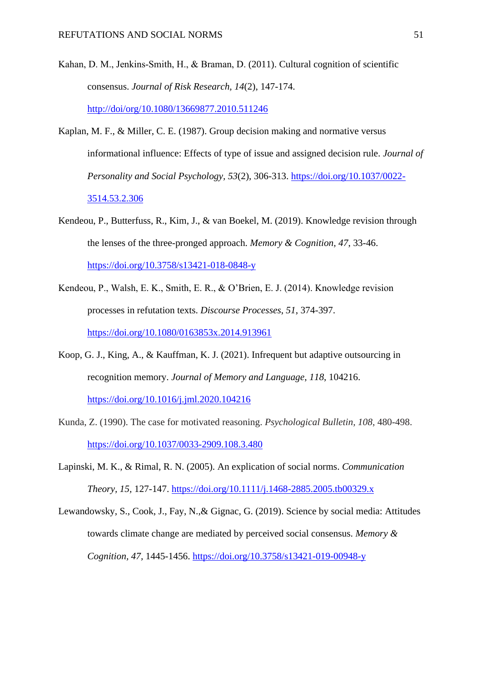- Kahan, D. M., Jenkins-Smith, H., & Braman, D. (2011). Cultural cognition of scientific consensus. *Journal of Risk Research, 14*(2), 147-174. <http://doi/org/10.1080/13669877.2010.511246>
- Kaplan, M. F., & Miller, C. E. (1987). Group decision making and normative versus informational influence: Effects of type of issue and assigned decision rule. *Journal of Personality and Social Psychology, 53*(2), 306-313. [https://doi.org/10.1037/0022-](https://doi.org/10.1037/0022-3514.53.2.306) [3514.53.2.306](https://doi.org/10.1037/0022-3514.53.2.306)
- Kendeou, P., Butterfuss, R., Kim, J., & van Boekel, M. (2019). Knowledge revision through the lenses of the three-pronged approach. *Memory & Cognition, 47*, 33-46. <https://doi.org/10.3758/s13421-018-0848-y>
- Kendeou, P., Walsh, E. K., Smith, E. R., & O'Brien, E. J. (2014). Knowledge revision processes in refutation texts. *Discourse Processes*, *51*, 374-397. <https://doi.org/10.1080/0163853x.2014.913961>
- Koop, G. J., King, A., & Kauffman, K. J. (2021). Infrequent but adaptive outsourcing in recognition memory. *Journal of Memory and Language*, *118*, 104216. <https://doi.org/10.1016/j.jml.2020.104216>
- Kunda, Z. (1990). The case for motivated reasoning. *Psychological Bulletin, 108*, 480-498. <https://doi.org/10.1037/0033-2909.108.3.480>
- Lapinski, M. K., & Rimal, R. N. (2005). An explication of social norms. *Communication Theory, 15,* 127-147.<https://doi.org/10.1111/j.1468-2885.2005.tb00329.x>
- Lewandowsky, S., Cook, J., Fay, N.,& Gignac, G. (2019). Science by social media: Attitudes towards climate change are mediated by perceived social consensus. *Memory & Cognition, 47,* 1445-1456.<https://doi.org/10.3758/s13421-019-00948-y>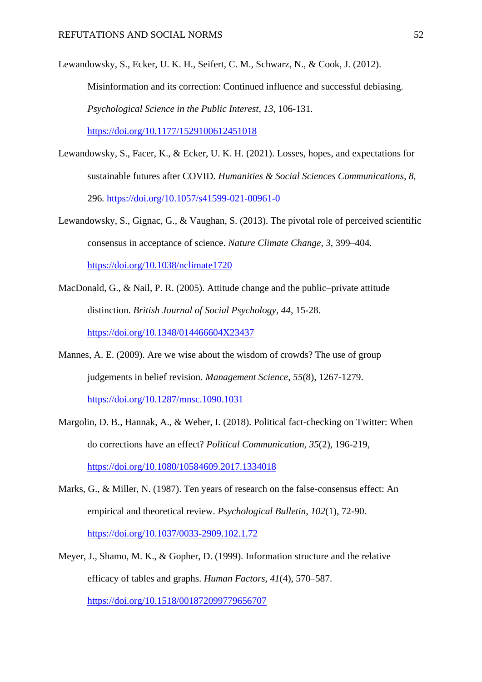Lewandowsky, S., Ecker, U. K. H., Seifert, C. M., Schwarz, N., & Cook, J. (2012). Misinformation and its correction: Continued influence and successful debiasing. *Psychological Science in the Public Interest*, *13*, 106-131. <https://doi.org/10.1177/1529100612451018>

- Lewandowsky, S., Facer, K., & Ecker, U. K. H. (2021). Losses, hopes, and expectations for sustainable futures after COVID. *Humanities & Social Sciences Communications, 8*, 296*.* <https://doi.org/10.1057/s41599-021-00961-0>
- Lewandowsky, S., Gignac, G., & Vaughan, S. (2013). The pivotal role of perceived scientific consensus in acceptance of science. *Nature Climate Change*, *3*, 399–404. <https://doi.org/10.1038/nclimate1720>
- MacDonald, G., & Nail, P. R. (2005). Attitude change and the public–private attitude distinction. *British Journal of Social Psychology, 44*, 15-28. <https://doi.org/10.1348/014466604X23437>
- Mannes, A. E. (2009). Are we wise about the wisdom of crowds? The use of group judgements in belief revision. *Management Science*, *55*(8), 1267-1279. <https://doi.org/10.1287/mnsc.1090.1031>
- Margolin, D. B., Hannak, A., & Weber, I. (2018). Political fact-checking on Twitter: When do corrections have an effect? *Political Communication, 35*(2), 196-219, <https://doi.org/10.1080/10584609.2017.1334018>
- Marks, G., & Miller, N. (1987). Ten years of research on the false-consensus effect: An empirical and theoretical review. *Psychological Bulletin, 102*(1), 72-90. <https://doi.org/10.1037/0033-2909.102.1.72>
- Meyer, J., Shamo, M. K., & Gopher, D. (1999). Information structure and the relative efficacy of tables and graphs. *Human Factors, 41*(4), 570–587. <https://doi.org/10.1518/001872099779656707>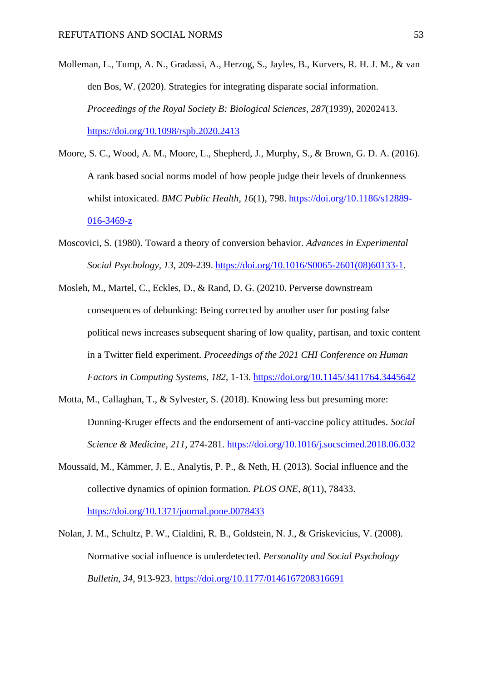- Molleman, L., Tump, A. N., Gradassi, A., Herzog, S., Jayles, B., Kurvers, R. H. J. M., & van den Bos, W. (2020). Strategies for integrating disparate social information. *Proceedings of the Royal Society B: Biological Sciences*, *287*(1939), 20202413. <https://doi.org/10.1098/rspb.2020.2413>
- Moore, S. C., Wood, A. M., Moore, L., Shepherd, J., Murphy, S., & Brown, G. D. A. (2016). A rank based social norms model of how people judge their levels of drunkenness whilst intoxicated. *BMC Public Health*, *16*(1), 798. [https://doi.org/10.1186/s12889-](https://doi.org/10.1186/s12889-016-3469-z) [016-3469-z](https://doi.org/10.1186/s12889-016-3469-z)
- Moscovici, S. (1980). Toward a theory of conversion behavior. *Advances in Experimental Social Psychology, 13*, 209-239. [https://doi.org/10.1016/S0065-2601\(08\)60133-1.](https://doi.org/10.1016/S0065-2601(08)60133-1)
- Mosleh, M., Martel, C., Eckles, D., & Rand, D. G. (20210. Perverse downstream consequences of debunking: Being corrected by another user for posting false political news increases subsequent sharing of low quality, partisan, and toxic content in a Twitter field experiment. *Proceedings of the 2021 CHI Conference on Human Factors in Computing Systems*, *182*, 1-13.<https://doi.org/10.1145/3411764.3445642>
- Motta, M., Callaghan, T., & Sylvester, S. (2018). Knowing less but presuming more: Dunning-Kruger effects and the endorsement of anti-vaccine policy attitudes. *Social Science & Medicine, 211*, 274-281.<https://doi.org/10.1016/j.socscimed.2018.06.032>
- Moussaïd, M., Kämmer, J. E., Analytis, P. P., & Neth, H. (2013). Social influence and the collective dynamics of opinion formation. *PLOS ONE*, *8*(11), 78433. <https://doi.org/10.1371/journal.pone.0078433>
- Nolan, J. M., Schultz, P. W., Cialdini, R. B., Goldstein, N. J., & Griskevicius, V. (2008). Normative social influence is underdetected. *Personality and Social Psychology Bulletin*, *34*, 913-923.<https://doi.org/10.1177/0146167208316691>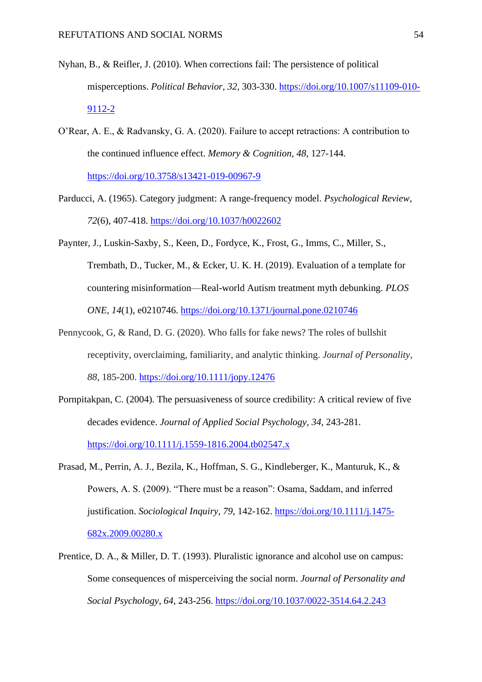- Nyhan, B., & Reifler, J. (2010). When corrections fail: The persistence of political misperceptions. *Political Behavior*, *32*, 303-330. [https://doi.org/10.1007/s11109-010-](https://doi.org/10.1007/s11109-010-9112-2) [9112-2](https://doi.org/10.1007/s11109-010-9112-2)
- O'Rear, A. E., & Radvansky, G. A. (2020). Failure to accept retractions: A contribution to the continued influence effect. *Memory & Cognition, 48*, 127-144. <https://doi.org/10.3758/s13421-019-00967-9>
- Parducci, A. (1965). Category judgment: A range-frequency model. *Psychological Review, 72*(6), 407-418. [https://doi.org/10.1037/h0022602](https://psycnet.apa.org/doi/10.1037/h0022602)
- Paynter, J., Luskin-Saxby, S., Keen, D., Fordyce, K., Frost, G., Imms, C., Miller, S., Trembath, D., Tucker, M., & Ecker, U. K. H. (2019). Evaluation of a template for countering misinformation—Real-world Autism treatment myth debunking. *PLOS ONE, 14*(1), e0210746.<https://doi.org/10.1371/journal.pone.0210746>
- Pennycook, G, & Rand, D. G. (2020). Who falls for fake news? The roles of bullshit receptivity, overclaiming, familiarity, and analytic thinking. *Journal of Personality*, *88*, 185-200.<https://doi.org/10.1111/jopy.12476>
- Pornpitakpan, C. (2004). The persuasiveness of source credibility: A critical review of five decades evidence. *Journal of Applied Social Psychology, 34*, 243-281. <https://doi.org/10.1111/j.1559-1816.2004.tb02547.x>
- Prasad, M., Perrin, A. J., Bezila, K., Hoffman, S. G., Kindleberger, K., Manturuk, K., & Powers, A. S. (2009). "There must be a reason": Osama, Saddam, and inferred justification. *Sociological Inquiry, 79*, 142-162. [https://doi.org/10.1111/j.1475-](https://doi.org/10.1111/j.1475-682x.2009.00280.x) [682x.2009.00280.x](https://doi.org/10.1111/j.1475-682x.2009.00280.x)
- Prentice, D. A., & Miller, D. T. (1993). Pluralistic ignorance and alcohol use on campus: Some consequences of misperceiving the social norm. *Journal of Personality and Social Psychology*, *64*, 243-256.<https://doi.org/10.1037/0022-3514.64.2.243>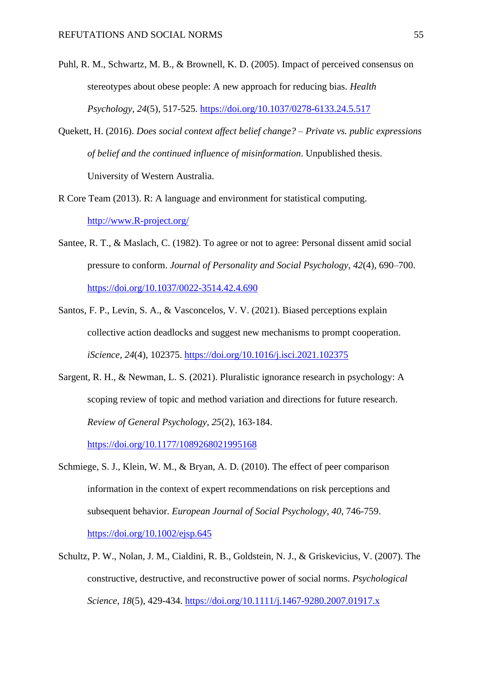- Puhl, R. M., Schwartz, M. B., & Brownell, K. D. (2005). Impact of perceived consensus on stereotypes about obese people: A new approach for reducing bias. *Health Psychology, 24*(5), 517-525. [https://doi.org/10.1037/0278-6133.24.5.517](https://psycnet.apa.org/doi/10.1037/0278-6133.24.5.517)
- Quekett, H. (2016). *Does social context affect belief change? – Private vs. public expressions of belief and the continued influence of misinformation*. Unpublished thesis. University of Western Australia.
- R Core Team (2013). R: A language and environment for statistical computing. [http://www.R-project.org/](http://www.r-project.org/)
- Santee, R. T., & Maslach, C. (1982). To agree or not to agree: Personal dissent amid social pressure to conform. *Journal of Personality and Social Psychology, 42*(4), 690–700. [https://doi.org/10.1037/0022-3514.42.4.690](https://psycnet.apa.org/doi/10.1037/0022-3514.42.4.690)
- Santos, F. P., Levin, S. A., & Vasconcelos, V. V. (2021). Biased perceptions explain collective action deadlocks and suggest new mechanisms to prompt cooperation. *iScience*, *24*(4), 102375.<https://doi.org/10.1016/j.isci.2021.102375>
- Sargent, R. H., & Newman, L. S. (2021). Pluralistic ignorance research in psychology: A scoping review of topic and method variation and directions for future research. *Review of General Psychology, 25*(2), 163-184.

<https://doi.org/10.1177/1089268021995168>

- Schmiege, S. J., Klein, W. M., & Bryan, A. D. (2010). The effect of peer comparison information in the context of expert recommendations on risk perceptions and subsequent behavior. *European Journal of Social Psychology*, *40*, 746-759. <https://doi.org/10.1002/ejsp.645>
- Schultz, P. W., Nolan, J. M., Cialdini, R. B., Goldstein, N. J., & Griskevicius, V. (2007). The constructive, destructive, and reconstructive power of social norms. *Psychological Science, 18*(5), 429-434.<https://doi.org/10.1111/j.1467-9280.2007.01917.x>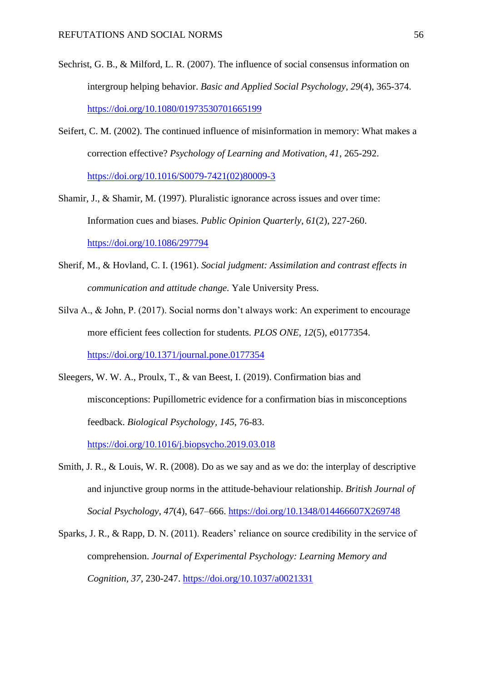- Sechrist, G. B., & Milford, L. R. (2007). The influence of social consensus information on intergroup helping behavior. *Basic and Applied Social Psychology, 29*(4), 365-374. [https://doi.org/10.1080/01973530701665199](https://psycnet.apa.org/doi/10.1080/01973530701665199)
- Seifert, C. M. (2002). The continued influence of misinformation in memory: What makes a correction effective? *Psychology of Learning and Motivation, 41*, 265-292. [https://doi.org/10.1016/S0079-7421\(02\)80009-3](https://doi.org/10.1016/S0079-7421(02)80009-3)
- Shamir, J., & Shamir, M. (1997). Pluralistic ignorance across issues and over time: Information cues and biases. *Public Opinion Quarterly*, *61*(2), 227-260. <https://doi.org/10.1086/297794>
- Sherif, M., & Hovland, C. I. (1961). *Social judgment: Assimilation and contrast effects in communication and attitude change.* Yale University Press.
- Silva A., & John, P. (2017). Social norms don't always work: An experiment to encourage more efficient fees collection for students. *PLOS ONE, 12*(5), e0177354. <https://doi.org/10.1371/journal.pone.0177354>
- Sleegers, W. W. A., Proulx, T., & van Beest, I. (2019). Confirmation bias and misconceptions: Pupillometric evidence for a confirmation bias in misconceptions feedback. *Biological Psychology, 145*, 76-83.

<https://doi.org/10.1016/j.biopsycho.2019.03.018>

- Smith, J. R., & Louis, W. R. (2008). Do as we say and as we do: the interplay of descriptive and injunctive group norms in the attitude-behaviour relationship. *British Journal of Social Psychology*, *47*(4), 647–666.<https://doi.org/10.1348/014466607X269748>
- Sparks, J. R., & Rapp, D. N. (2011). Readers' reliance on source credibility in the service of comprehension. *Journal of Experimental Psychology: Learning Memory and Cognition, 37*, 230-247.<https://doi.org/10.1037/a0021331>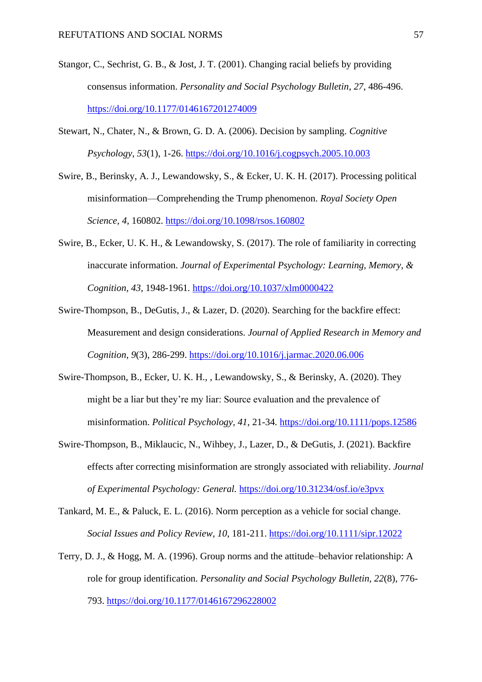- Stangor, C., Sechrist, G. B., & Jost, J. T. (2001). Changing racial beliefs by providing consensus information. *Personality and Social Psychology Bulletin*, *27*, 486-496. <https://doi.org/10.1177/0146167201274009>
- Stewart, N., Chater, N., & Brown, G. D. A. (2006). Decision by sampling. *Cognitive Psychology*, *53*(1), 1-26.<https://doi.org/10.1016/j.cogpsych.2005.10.003>
- Swire, B., Berinsky, A. J., Lewandowsky, S., & Ecker, U. K. H. (2017). Processing political misinformation—Comprehending the Trump phenomenon. *Royal Society Open Science, 4*, 160802.<https://doi.org/10.1098/rsos.160802>
- Swire, B., Ecker, U. K. H., & Lewandowsky, S. (2017). The role of familiarity in correcting inaccurate information. *Journal of Experimental Psychology: Learning, Memory, & Cognition, 43*, 1948-1961*.* <https://doi.org/10.1037/xlm0000422>
- Swire-Thompson, B., DeGutis, J., & Lazer, D. (2020). Searching for the backfire effect: Measurement and design considerations. *Journal of Applied Research in Memory and Cognition, 9*(3), 286-299.<https://doi.org/10.1016/j.jarmac.2020.06.006>
- Swire-Thompson, B., Ecker, U. K. H., , Lewandowsky, S., & Berinsky, A. (2020). They might be a liar but they're my liar: Source evaluation and the prevalence of misinformation. *Political Psychology, 41*, 21-34*.* <https://doi.org/10.1111/pops.12586>
- Swire-Thompson, B., Miklaucic, N., Wihbey, J., Lazer, D., & DeGutis, J. (2021). Backfire effects after correcting misinformation are strongly associated with reliability. *Journal of Experimental Psychology: General.* <https://doi.org/10.31234/osf.io/e3pvx>
- Tankard, M. E., & Paluck, E. L. (2016). Norm perception as a vehicle for social change. *Social Issues and Policy Review, 10*, 181-211.<https://doi.org/10.1111/sipr.12022>
- Terry, D. J., & Hogg, M. A. (1996). Group norms and the attitude–behavior relationship: A role for group identification. *Personality and Social Psychology Bulletin, 22*(8), 776- 793. [https://doi.org/10.1177/0146167296228002](https://psycnet.apa.org/doi/10.1177/0146167296228002)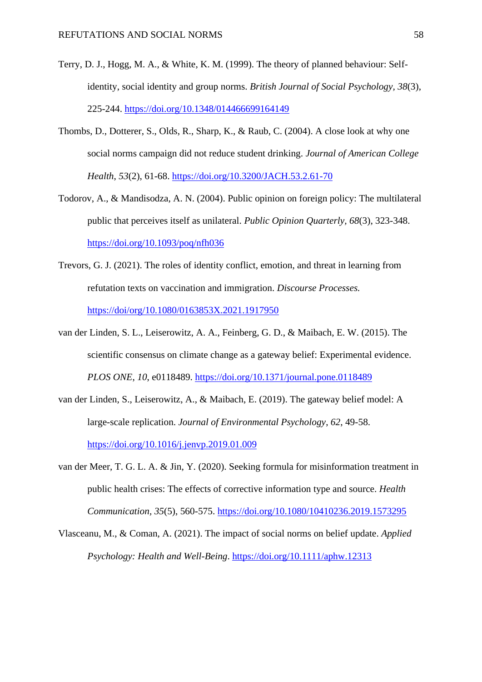- Terry, D. J., Hogg, M. A., & White, K. M. (1999). The theory of planned behaviour: Selfidentity, social identity and group norms. *British Journal of Social Psychology, 38*(3), 225-244. [https://doi.org/10.1348/014466699164149](https://psycnet.apa.org/doi/10.1348/014466699164149)
- Thombs, D., Dotterer, S., Olds, R., Sharp, K., & Raub, C. (2004). A close look at why one social norms campaign did not reduce student drinking. *Journal of American College Health*, *53*(2), 61-68.<https://doi.org/10.3200/JACH.53.2.61-70>
- Todorov, A., & Mandisodza, A. N. (2004). Public opinion on foreign policy: The multilateral public that perceives itself as unilateral. *Public Opinion Quarterly, 68*(3), 323-348. [https://doi.org/10.1093/poq/nfh036](https://psycnet.apa.org/doi/10.1093/poq/nfh036)
- Trevors, G. J. (2021). The roles of identity conflict, emotion, and threat in learning from refutation texts on vaccination and immigration. *Discourse Processes.* <https://doi/org/10.1080/0163853X.2021.1917950>
- van der Linden, S. L., Leiserowitz, A. A., Feinberg, G. D., & Maibach, E. W. (2015). The scientific consensus on climate change as a gateway belief: Experimental evidence. *PLOS ONE*, *10*, e0118489. <https://doi.org/10.1371/journal.pone.0118489>
- van der Linden, S., Leiserowitz, A., & Maibach, E. (2019). The gateway belief model: A large-scale replication. *Journal of Environmental Psychology*, *62*, 49-58. <https://doi.org/10.1016/j.jenvp.2019.01.009>
- van der Meer, T. G. L. A. & Jin, Y. (2020). Seeking formula for misinformation treatment in public health crises: The effects of corrective information type and source. *Health Communication, 35*(5), 560-575. <https://doi.org/10.1080/10410236.2019.1573295>
- Vlasceanu, M., & Coman, A. (2021). The impact of social norms on belief update. *Applied Psychology: Health and Well-Being*.<https://doi.org/10.1111/aphw.12313>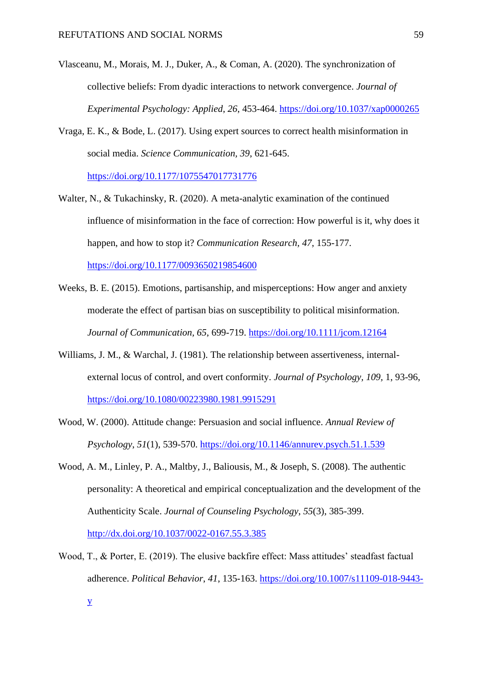- Vlasceanu, M., Morais, M. J., Duker, A., & Coman, A. (2020). The synchronization of collective beliefs: From dyadic interactions to network convergence. *Journal of Experimental Psychology: Applied*, *26*, 453-464.<https://doi.org/10.1037/xap0000265>
- Vraga, E. K., & Bode, L. (2017). Using expert sources to correct health misinformation in social media. *Science Communication, 39*, 621-645.

<https://doi.org/10.1177/1075547017731776>

- Walter, N., & Tukachinsky, R. (2020). A meta-analytic examination of the continued influence of misinformation in the face of correction: How powerful is it, why does it happen, and how to stop it? *Communication Research, 47*, 155-177. <https://doi.org/10.1177/0093650219854600>
- Weeks, B. E. (2015). Emotions, partisanship, and misperceptions: How anger and anxiety moderate the effect of partisan bias on susceptibility to political misinformation. *Journal of Communication, 65*, 699-719.<https://doi.org/10.1111/jcom.12164>
- Williams, J. M., & Warchal, J. (1981). The relationship between assertiveness, internalexternal locus of control, and overt conformity. *Journal of Psychology, 109,* 1, 93-96, <https://doi.org/10.1080/00223980.1981.9915291>
- Wood, W. (2000). Attitude change: Persuasion and social influence. *Annual Review of Psychology*, *51*(1), 539-570. <https://doi.org/10.1146/annurev.psych.51.1.539>
- Wood, A. M., Linley, P. A., Maltby, J., Baliousis, M., & Joseph, S. (2008). The authentic personality: A theoretical and empirical conceptualization and the development of the Authenticity Scale. *Journal of Counseling Psychology*, *55*(3), 385-399. <http://dx.doi.org/10.1037/0022-0167.55.3.385>
- Wood, T., & Porter, E. (2019). The elusive backfire effect: Mass attitudes' steadfast factual adherence. *Political Behavior*, *41*, 135-163. [https://doi.org/10.1007/s11109-018-9443-](https://doi.org/10.1007/s11109-018-9443-y)

[y](https://doi.org/10.1007/s11109-018-9443-y)